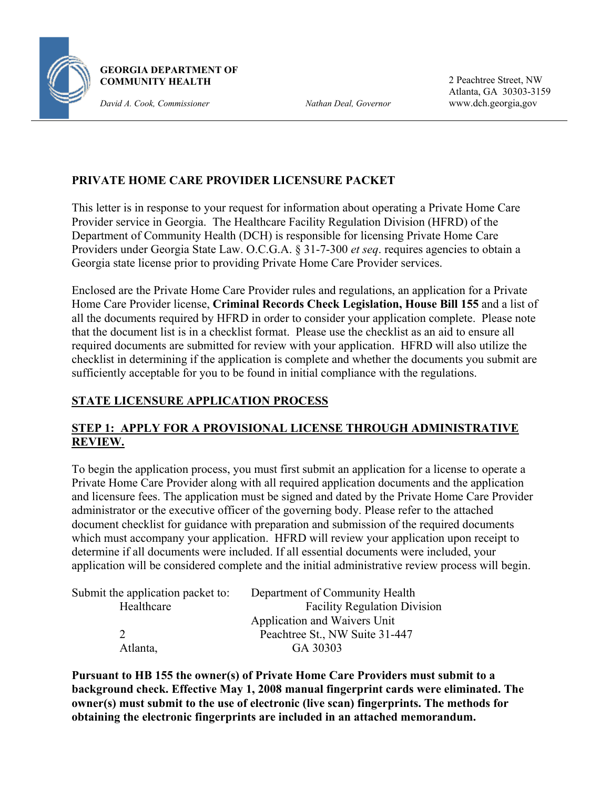

**GEORGIA DEPARTMENT OF COMMUNITY HEALTH** 

*David A. Cook, Commissioner Nathan Deal, Governor* 

2 Peachtree Street, NW Atlanta, GA 30303-3159 www.dch.georgia,gov

# **PRIVATE HOME CARE PROVIDER LICENSURE PACKET**

This letter is in response to your request for information about operating a Private Home Care Provider service in Georgia. The Healthcare Facility Regulation Division (HFRD) of the Department of Community Health (DCH) is responsible for licensing Private Home Care Providers under Georgia State Law. O.C.G.A. § 31-7-300 *et seq*. requires agencies to obtain a Georgia state license prior to providing Private Home Care Provider services.

Enclosed are the Private Home Care Provider rules and regulations, an application for a Private Home Care Provider license, **Criminal Records Check Legislation, House Bill 155** and a list of all the documents required by HFRD in order to consider your application complete. Please note that the document list is in a checklist format. Please use the checklist as an aid to ensure all required documents are submitted for review with your application. HFRD will also utilize the checklist in determining if the application is complete and whether the documents you submit are sufficiently acceptable for you to be found in initial compliance with the regulations.

# **STATE LICENSURE APPLICATION PROCESS**

# **STEP 1: APPLY FOR A PROVISIONAL LICENSE THROUGH ADMINISTRATIVE REVIEW.**

To begin the application process, you must first submit an application for a license to operate a Private Home Care Provider along with all required application documents and the application and licensure fees. The application must be signed and dated by the Private Home Care Provider administrator or the executive officer of the governing body. Please refer to the attached document checklist for guidance with preparation and submission of the required documents which must accompany your application. HFRD will review your application upon receipt to determine if all documents were included. If all essential documents were included, your application will be considered complete and the initial administrative review process will begin.

| Submit the application packet to: | Department of Community Health      |
|-----------------------------------|-------------------------------------|
| Healthcare                        | <b>Facility Regulation Division</b> |
|                                   | Application and Waivers Unit        |
|                                   | Peachtree St., NW Suite 31-447      |
| Atlanta,                          | GA 30303                            |

**Pursuant to HB 155 the owner(s) of Private Home Care Providers must submit to a background check. Effective May 1, 2008 manual fingerprint cards were eliminated. The owner(s) must submit to the use of electronic (live scan) fingerprints. The methods for obtaining the electronic fingerprints are included in an attached memorandum.**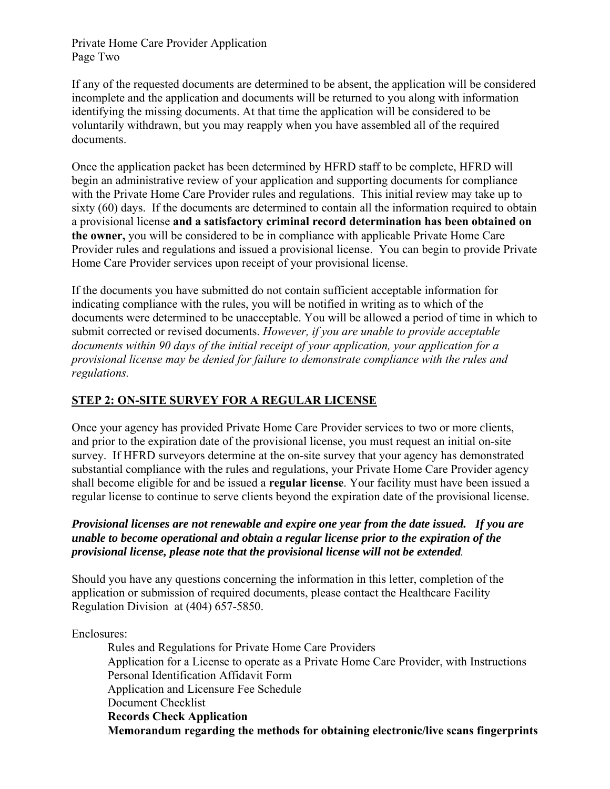Private Home Care Provider Application Page Two

If any of the requested documents are determined to be absent, the application will be considered incomplete and the application and documents will be returned to you along with information identifying the missing documents. At that time the application will be considered to be voluntarily withdrawn, but you may reapply when you have assembled all of the required documents.

Once the application packet has been determined by HFRD staff to be complete, HFRD will begin an administrative review of your application and supporting documents for compliance with the Private Home Care Provider rules and regulations. This initial review may take up to sixty (60) days. If the documents are determined to contain all the information required to obtain a provisional license **and a satisfactory criminal record determination has been obtained on the owner,** you will be considered to be in compliance with applicable Private Home Care Provider rules and regulations and issued a provisional license. You can begin to provide Private Home Care Provider services upon receipt of your provisional license.

If the documents you have submitted do not contain sufficient acceptable information for indicating compliance with the rules, you will be notified in writing as to which of the documents were determined to be unacceptable. You will be allowed a period of time in which to submit corrected or revised documents. *However, if you are unable to provide acceptable documents within 90 days of the initial receipt of your application, your application for a provisional license may be denied for failure to demonstrate compliance with the rules and regulations.*

# **STEP 2: ON-SITE SURVEY FOR A REGULAR LICENSE**

Once your agency has provided Private Home Care Provider services to two or more clients, and prior to the expiration date of the provisional license, you must request an initial on-site survey. If HFRD surveyors determine at the on-site survey that your agency has demonstrated substantial compliance with the rules and regulations, your Private Home Care Provider agency shall become eligible for and be issued a **regular license**. Your facility must have been issued a regular license to continue to serve clients beyond the expiration date of the provisional license.

## *Provisional licenses are not renewable and expire one year from the date issued. If you are unable to become operational and obtain a regular license prior to the expiration of the provisional license, please note that the provisional license will not be extended.*

Should you have any questions concerning the information in this letter, completion of the application or submission of required documents, please contact the Healthcare Facility Regulation Division at (404) 657-5850.

Enclosures:

 Rules and Regulations for Private Home Care Providers Application for a License to operate as a Private Home Care Provider, with Instructions Personal Identification Affidavit Form Application and Licensure Fee Schedule Document Checklist **Records Check Application Memorandum regarding the methods for obtaining electronic/live scans fingerprints**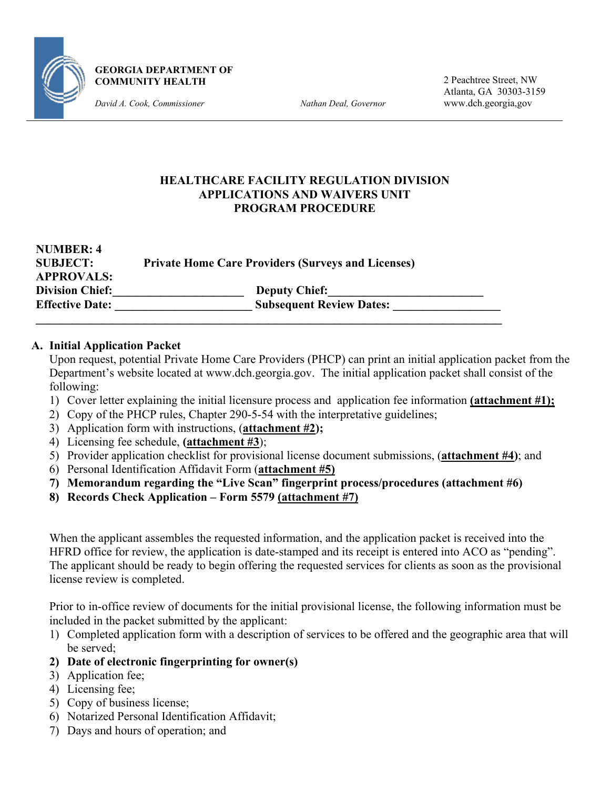

**GEORGIA DEPARTMENT OF COMMUNITY HEALTH** 

2 Peachtree Street, NW Atlanta, GA 30303-3159 www.dch.georgia,gov

## **HEALTHCARE FACILITY REGULATION DIVISION APPLICATIONS AND WAIVERS UNIT PROGRAM PROCEDURE**

| <b>NUMBER: 4</b>       |                                                           |
|------------------------|-----------------------------------------------------------|
| <b>SUBJECT:</b>        | <b>Private Home Care Providers (Surveys and Licenses)</b> |
| <b>APPROVALS:</b>      |                                                           |
| <b>Division Chief:</b> | <b>Deputy Chief:</b>                                      |
| <b>Effective Date:</b> | <b>Subsequent Review Dates:</b>                           |

**\_\_\_\_\_\_\_\_\_\_\_\_\_\_\_\_\_\_\_\_\_\_\_\_\_\_\_\_\_\_\_\_\_\_\_\_\_\_\_\_\_\_\_\_\_\_\_\_\_\_\_\_\_\_\_\_\_\_\_\_\_\_\_\_\_\_\_\_\_\_\_\_\_\_\_\_\_\_** 

## **A. Initial Application Packet**

Upon request, potential Private Home Care Providers (PHCP) can print an initial application packet from the Department's website located at www.dch.georgia.gov. The initial application packet shall consist of the following:

- 1) Cover letter explaining the initial licensure process and application fee information **(attachment #1);**
- 2) Copy of the PHCP rules, Chapter 290-5-54 with the interpretative guidelines;
- 3) Application form with instructions, (**attachment #2);**
- 4) Licensing fee schedule, **(attachment #3**);
- 5) Provider application checklist for provisional license document submissions, (**attachment #4)**; and
- 6) Personal Identification Affidavit Form (**attachment #5)**
- **7) Memorandum regarding the "Live Scan" fingerprint process/procedures (attachment #6)**
- **8) Records Check Application Form 5579 (attachment #7)**

When the applicant assembles the requested information, and the application packet is received into the HFRD office for review, the application is date-stamped and its receipt is entered into ACO as "pending". The applicant should be ready to begin offering the requested services for clients as soon as the provisional license review is completed.

Prior to in-office review of documents for the initial provisional license, the following information must be included in the packet submitted by the applicant:

- 1) Completed application form with a description of services to be offered and the geographic area that will be served;
- **2) Date of electronic fingerprinting for owner(s)**
- 3) Application fee;
- 4) Licensing fee;
- 5) Copy of business license;
- 6) Notarized Personal Identification Affidavit;
- 7) Days and hours of operation; and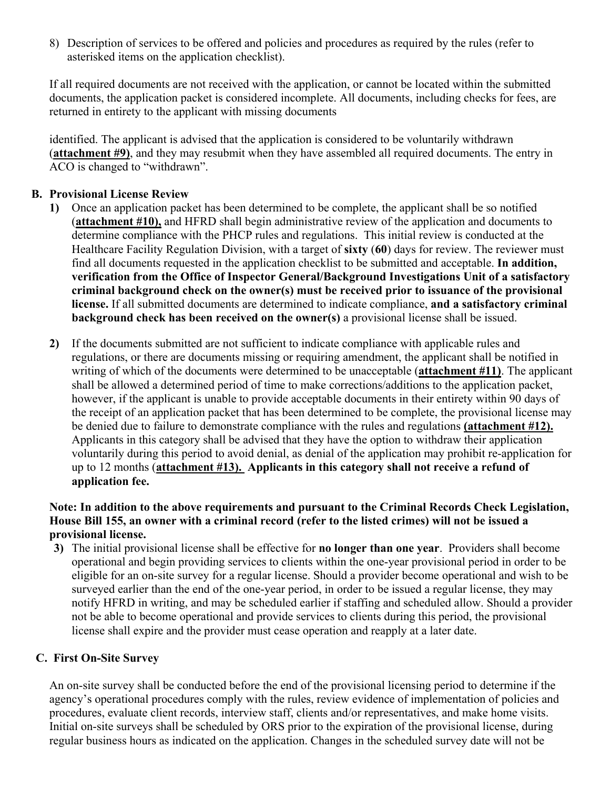8) Description of services to be offered and policies and procedures as required by the rules (refer to asterisked items on the application checklist).

If all required documents are not received with the application, or cannot be located within the submitted documents, the application packet is considered incomplete. All documents, including checks for fees, are returned in entirety to the applicant with missing documents

identified. The applicant is advised that the application is considered to be voluntarily withdrawn (**attachment #9)**, and they may resubmit when they have assembled all required documents. The entry in ACO is changed to "withdrawn".

## **B. Provisional License Review**

- **1)** Once an application packet has been determined to be complete, the applicant shall be so notified (**attachment #10),** and HFRD shall begin administrative review of the application and documents to determine compliance with the PHCP rules and regulations. This initial review is conducted at the Healthcare Facility Regulation Division, with a target of **sixty** (**60**) days for review. The reviewer must find all documents requested in the application checklist to be submitted and acceptable. **In addition, verification from the Office of Inspector General/Background Investigations Unit of a satisfactory criminal background check on the owner(s) must be received prior to issuance of the provisional license.** If all submitted documents are determined to indicate compliance, **and a satisfactory criminal background check has been received on the owner(s)** a provisional license shall be issued.
- **2)** If the documents submitted are not sufficient to indicate compliance with applicable rules and regulations, or there are documents missing or requiring amendment, the applicant shall be notified in writing of which of the documents were determined to be unacceptable (**attachment #11)**. The applicant shall be allowed a determined period of time to make corrections/additions to the application packet, however, if the applicant is unable to provide acceptable documents in their entirety within 90 days of the receipt of an application packet that has been determined to be complete, the provisional license may be denied due to failure to demonstrate compliance with the rules and regulations **(attachment #12).** Applicants in this category shall be advised that they have the option to withdraw their application voluntarily during this period to avoid denial, as denial of the application may prohibit re-application for up to 12 months (**attachment #13). Applicants in this category shall not receive a refund of application fee.**

## **Note: In addition to the above requirements and pursuant to the Criminal Records Check Legislation, House Bill 155, an owner with a criminal record (refer to the listed crimes) will not be issued a provisional license.**

**3)** The initial provisional license shall be effective for **no longer than one year**. Providers shall become operational and begin providing services to clients within the one-year provisional period in order to be eligible for an on-site survey for a regular license. Should a provider become operational and wish to be surveyed earlier than the end of the one-year period, in order to be issued a regular license, they may notify HFRD in writing, and may be scheduled earlier if staffing and scheduled allow. Should a provider not be able to become operational and provide services to clients during this period, the provisional license shall expire and the provider must cease operation and reapply at a later date.

# **C. First On-Site Survey**

An on-site survey shall be conducted before the end of the provisional licensing period to determine if the agency's operational procedures comply with the rules, review evidence of implementation of policies and procedures, evaluate client records, interview staff, clients and/or representatives, and make home visits. Initial on-site surveys shall be scheduled by ORS prior to the expiration of the provisional license, during regular business hours as indicated on the application. Changes in the scheduled survey date will not be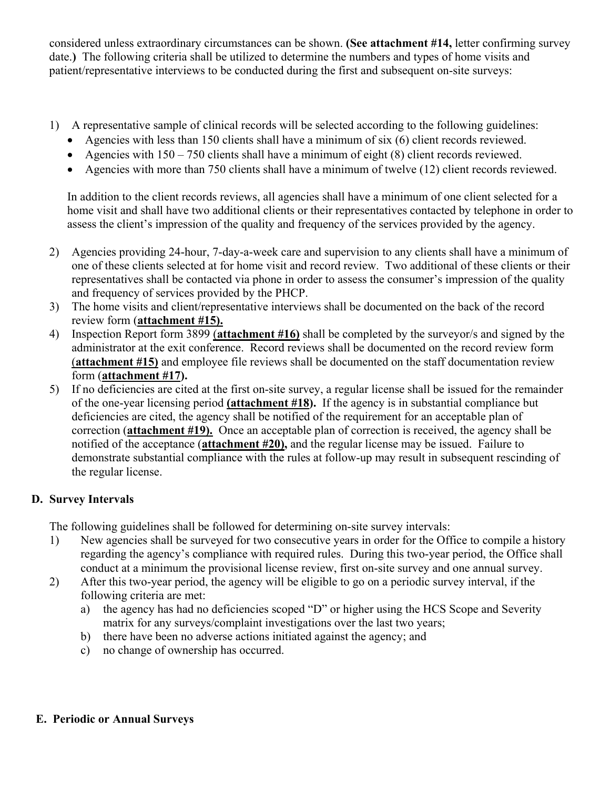considered unless extraordinary circumstances can be shown. **(See attachment #14,** letter confirming survey date.**)** The following criteria shall be utilized to determine the numbers and types of home visits and patient/representative interviews to be conducted during the first and subsequent on-site surveys:

- 1) A representative sample of clinical records will be selected according to the following guidelines:
	- Agencies with less than 150 clients shall have a minimum of six (6) client records reviewed.
	- Agencies with  $150 750$  clients shall have a minimum of eight  $(8)$  client records reviewed.
	- Agencies with more than 750 clients shall have a minimum of twelve (12) client records reviewed.

In addition to the client records reviews, all agencies shall have a minimum of one client selected for a home visit and shall have two additional clients or their representatives contacted by telephone in order to assess the client's impression of the quality and frequency of the services provided by the agency.

- 2) Agencies providing 24-hour, 7-day-a-week care and supervision to any clients shall have a minimum of one of these clients selected at for home visit and record review. Two additional of these clients or their representatives shall be contacted via phone in order to assess the consumer's impression of the quality and frequency of services provided by the PHCP.
- 3) The home visits and client/representative interviews shall be documented on the back of the record review form (**attachment #15).**
- 4) Inspection Report form 3899 (**attachment #16)** shall be completed by the surveyor/s and signed by the administrator at the exit conference. Record reviews shall be documented on the record review form (**attachment #15)** and employee file reviews shall be documented on the staff documentation review form (**attachment #17).**
- 5) If no deficiencies are cited at the first on-site survey, a regular license shall be issued for the remainder of the one-year licensing period **(attachment #18).** If the agency is in substantial compliance but deficiencies are cited, the agency shall be notified of the requirement for an acceptable plan of correction (**attachment #19).** Once an acceptable plan of correction is received, the agency shall be notified of the acceptance (**attachment #20),** and the regular license may be issued. Failure to demonstrate substantial compliance with the rules at follow-up may result in subsequent rescinding of the regular license.

# **D. Survey Intervals**

The following guidelines shall be followed for determining on-site survey intervals:

- 1) New agencies shall be surveyed for two consecutive years in order for the Office to compile a history regarding the agency's compliance with required rules. During this two-year period, the Office shall conduct at a minimum the provisional license review, first on-site survey and one annual survey.
- 2) After this two-year period, the agency will be eligible to go on a periodic survey interval, if the following criteria are met:
	- a) the agency has had no deficiencies scoped "D" or higher using the HCS Scope and Severity matrix for any surveys/complaint investigations over the last two years;
	- b) there have been no adverse actions initiated against the agency; and
	- c) no change of ownership has occurred.

# **E. Periodic or Annual Surveys**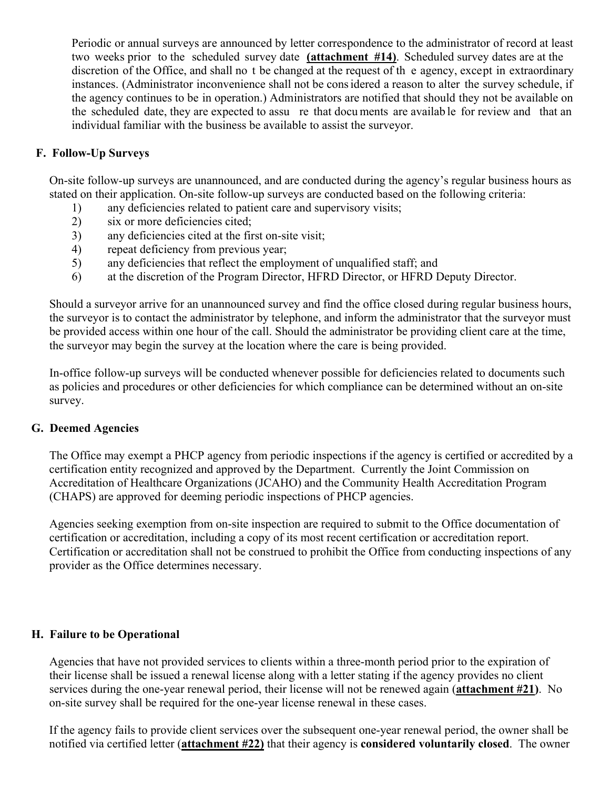Periodic or annual surveys are announced by letter correspondence to the administrator of record at least two weeks prior to the scheduled survey date **(attachment\_#14)**. Scheduled survey dates are at the discretion of the Office, and shall no t be changed at the request of th e agency, except in extraordinary instances. (Administrator inconvenience shall not be considered a reason to alter the survey schedule, if the agency continues to be in operation.) Administrators are notified that should they not be available on the scheduled date, they are expected to assu re that docu ments are availab le for review and that an individual familiar with the business be available to assist the surveyor.

# **F. Follow-Up Surveys**

On-site follow-up surveys are unannounced, and are conducted during the agency's regular business hours as stated on their application. On-site follow-up surveys are conducted based on the following criteria:

- 1) any deficiencies related to patient care and supervisory visits;
- 2) six or more deficiencies cited;
- 3) any deficiencies cited at the first on-site visit;
- 4) repeat deficiency from previous year;
- 5) any deficiencies that reflect the employment of unqualified staff; and
- 6) at the discretion of the Program Director, HFRD Director, or HFRD Deputy Director.

Should a surveyor arrive for an unannounced survey and find the office closed during regular business hours, the surveyor is to contact the administrator by telephone, and inform the administrator that the surveyor must be provided access within one hour of the call. Should the administrator be providing client care at the time, the surveyor may begin the survey at the location where the care is being provided.

In-office follow-up surveys will be conducted whenever possible for deficiencies related to documents such as policies and procedures or other deficiencies for which compliance can be determined without an on-site survey.

## **G. Deemed Agencies**

The Office may exempt a PHCP agency from periodic inspections if the agency is certified or accredited by a certification entity recognized and approved by the Department. Currently the Joint Commission on Accreditation of Healthcare Organizations (JCAHO) and the Community Health Accreditation Program (CHAPS) are approved for deeming periodic inspections of PHCP agencies.

Agencies seeking exemption from on-site inspection are required to submit to the Office documentation of certification or accreditation, including a copy of its most recent certification or accreditation report. Certification or accreditation shall not be construed to prohibit the Office from conducting inspections of any provider as the Office determines necessary.

## **H. Failure to be Operational**

Agencies that have not provided services to clients within a three-month period prior to the expiration of their license shall be issued a renewal license along with a letter stating if the agency provides no client services during the one-year renewal period, their license will not be renewed again (**attachment #21)**. No on-site survey shall be required for the one-year license renewal in these cases.

If the agency fails to provide client services over the subsequent one-year renewal period, the owner shall be notified via certified letter (**attachment #22)** that their agency is **considered voluntarily closed**. The owner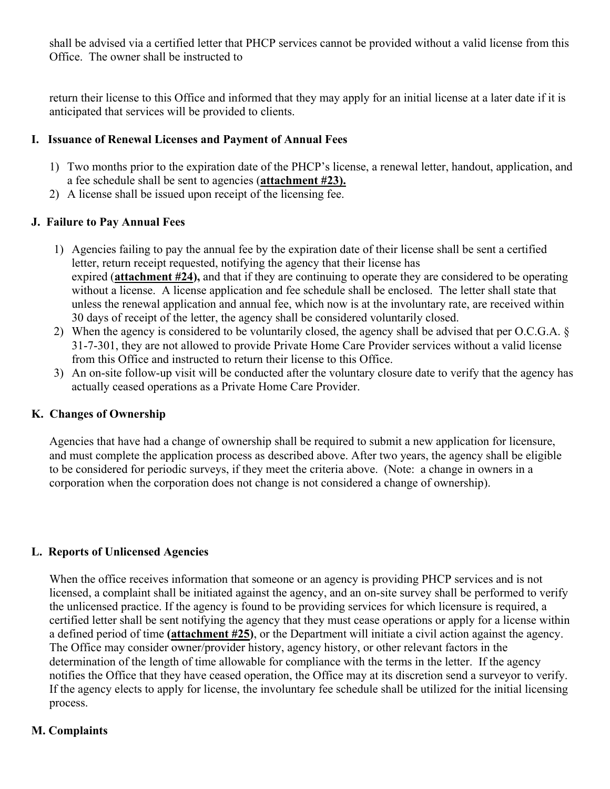shall be advised via a certified letter that PHCP services cannot be provided without a valid license from this Office. The owner shall be instructed to

return their license to this Office and informed that they may apply for an initial license at a later date if it is anticipated that services will be provided to clients.

# **I. Issuance of Renewal Licenses and Payment of Annual Fees**

- 1) Two months prior to the expiration date of the PHCP's license, a renewal letter, handout, application, and a fee schedule shall be sent to agencies (**attachment #23).**
- 2) A license shall be issued upon receipt of the licensing fee.

# **J. Failure to Pay Annual Fees**

- 1) Agencies failing to pay the annual fee by the expiration date of their license shall be sent a certified letter, return receipt requested, notifying the agency that their license has expired (**attachment #24),** and that if they are continuing to operate they are considered to be operating without a license. A license application and fee schedule shall be enclosed. The letter shall state that unless the renewal application and annual fee, which now is at the involuntary rate, are received within 30 days of receipt of the letter, the agency shall be considered voluntarily closed.
- 2) When the agency is considered to be voluntarily closed, the agency shall be advised that per O.C.G.A. § 31-7-301, they are not allowed to provide Private Home Care Provider services without a valid license from this Office and instructed to return their license to this Office.
- 3) An on-site follow-up visit will be conducted after the voluntary closure date to verify that the agency has actually ceased operations as a Private Home Care Provider.

# **K. Changes of Ownership**

Agencies that have had a change of ownership shall be required to submit a new application for licensure, and must complete the application process as described above. After two years, the agency shall be eligible to be considered for periodic surveys, if they meet the criteria above. (Note: a change in owners in a corporation when the corporation does not change is not considered a change of ownership).

## **L. Reports of Unlicensed Agencies**

When the office receives information that someone or an agency is providing PHCP services and is not licensed, a complaint shall be initiated against the agency, and an on-site survey shall be performed to verify the unlicensed practice. If the agency is found to be providing services for which licensure is required, a certified letter shall be sent notifying the agency that they must cease operations or apply for a license within a defined period of time **(attachment #25)**, or the Department will initiate a civil action against the agency. The Office may consider owner/provider history, agency history, or other relevant factors in the determination of the length of time allowable for compliance with the terms in the letter. If the agency notifies the Office that they have ceased operation, the Office may at its discretion send a surveyor to verify. If the agency elects to apply for license, the involuntary fee schedule shall be utilized for the initial licensing process.

# **M. Complaints**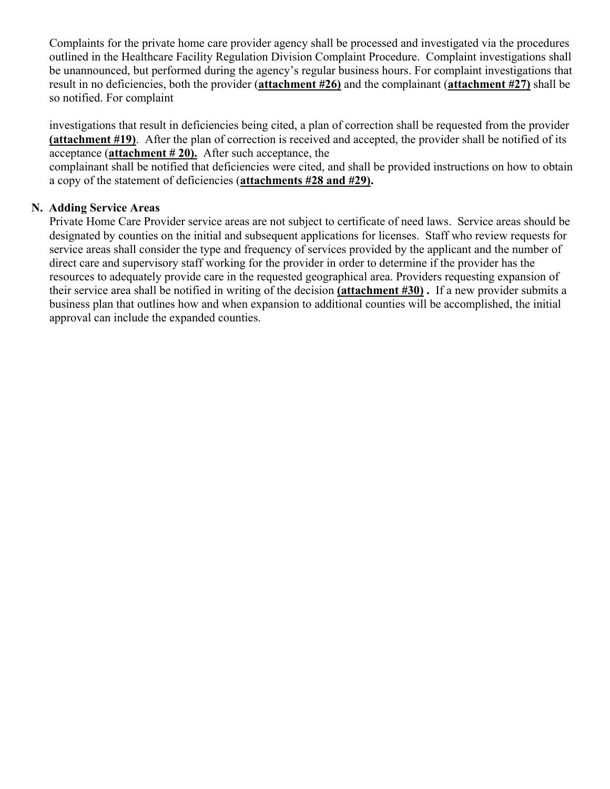Complaints for the private home care provider agency shall be processed and investigated via the procedures outlined in the Healthcare Facility Regulation Division Complaint Procedure. Complaint investigations shall be unannounced, but performed during the agency's regular business hours. For complaint investigations that result in no deficiencies, both the provider (**attachment #26)** and the complainant (**attachment #27)** shall be so notified. For complaint

investigations that result in deficiencies being cited, a plan of correction shall be requested from the provider **(attachment #19)**. After the plan of correction is received and accepted, the provider shall be notified of its acceptance (**attachment # 20).** After such acceptance, the

complainant shall be notified that deficiencies were cited, and shall be provided instructions on how to obtain a copy of the statement of deficiencies (**attachments #28 and #29).** 

## **N. Adding Service Areas**

Private Home Care Provider service areas are not subject to certificate of need laws. Service areas should be designated by counties on the initial and subsequent applications for licenses. Staff who review requests for service areas shall consider the type and frequency of services provided by the applicant and the number of direct care and supervisory staff working for the provider in order to determine if the provider has the resources to adequately provide care in the requested geographical area. Providers requesting expansion of their service area shall be notified in writing of the decision **(attachment #30) .** If a new provider submits a business plan that outlines how and when expansion to additional counties will be accomplished, the initial approval can include the expanded counties.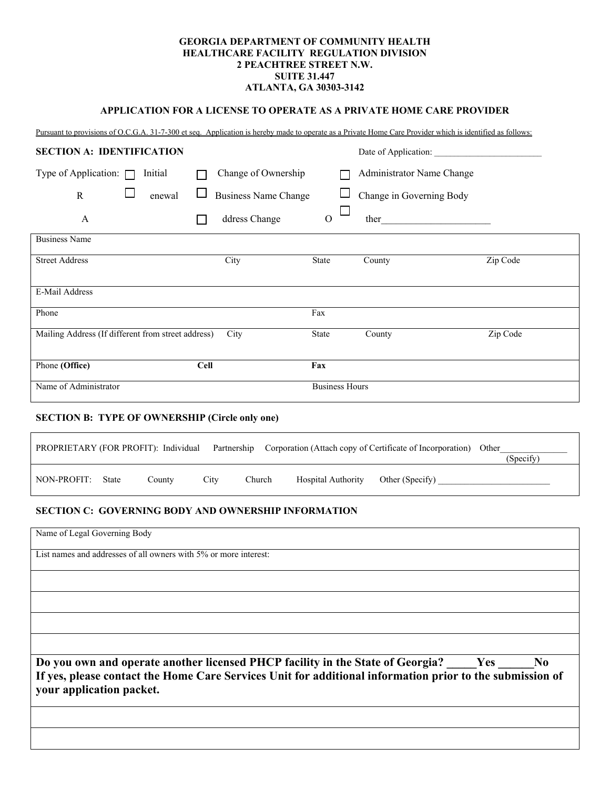#### **GEORGIA DEPARTMENT OF COMMUNITY HEALTH HEALTHCARE FACILITY REGULATION DIVISION 2 PEACHTREE STREET N.W. SUITE 31.447 ATLANTA, GA 30303-3142**

#### **APPLICATION FOR A LICENSE TO OPERATE AS A PRIVATE HOME CARE PROVIDER**

Pursuant to provisions of O.C.G.A. 31-7-300 et seq. Application is hereby made to operate as a Private Home Care Provider which is identified as follows:

| <b>SECTION A: IDENTIFICATION</b>                   |             |                             |                       | Date of Application:             |          |
|----------------------------------------------------|-------------|-----------------------------|-----------------------|----------------------------------|----------|
| Type of Application: $\Box$<br>Initial             |             | Change of Ownership         |                       | <b>Administrator Name Change</b> |          |
| $\mathbf R$<br>enewal                              |             | <b>Business Name Change</b> |                       | Change in Governing Body         |          |
| A                                                  |             | ddress Change               | $\Omega$              | ther                             |          |
| <b>Business Name</b>                               |             |                             |                       |                                  |          |
| <b>Street Address</b>                              |             | City                        | <b>State</b>          | County                           | Zip Code |
| E-Mail Address                                     |             |                             |                       |                                  |          |
| Phone                                              |             |                             | Fax                   |                                  |          |
| Mailing Address (If different from street address) |             | City                        | <b>State</b>          | County                           | Zip Code |
| Phone (Office)                                     | <b>Cell</b> |                             | Fax                   |                                  |          |
| Name of Administrator                              |             |                             | <b>Business Hours</b> |                                  |          |

#### **SECTION B: TYPE OF OWNERSHIP (Circle only one)**

| PROPRIETARY (FOR PROFIT): Individual |       |        | Partnership |        | Corporation (Attach copy of Certificate of Incorporation) |                 | Other<br>(Specify) |
|--------------------------------------|-------|--------|-------------|--------|-----------------------------------------------------------|-----------------|--------------------|
| NON-PROFIT:                          | State | County | City        | Church | <b>Hospital Authority</b>                                 | Other (Specify) |                    |

#### **SECTION C: GOVERNING BODY AND OWNERSHIP INFORMATION**

| Name of Legal Governing Body                                                                                                         |
|--------------------------------------------------------------------------------------------------------------------------------------|
| List names and addresses of all owners with 5% or more interest:                                                                     |
|                                                                                                                                      |
|                                                                                                                                      |
|                                                                                                                                      |
|                                                                                                                                      |
|                                                                                                                                      |
| Do you own and operate another licensed PHCP facility in the State of Georgia? Yes<br>N <sub>0</sub>                                 |
| If yes, please contact the Home Care Services Unit for additional information prior to the submission of<br>your application packet. |
|                                                                                                                                      |
|                                                                                                                                      |
|                                                                                                                                      |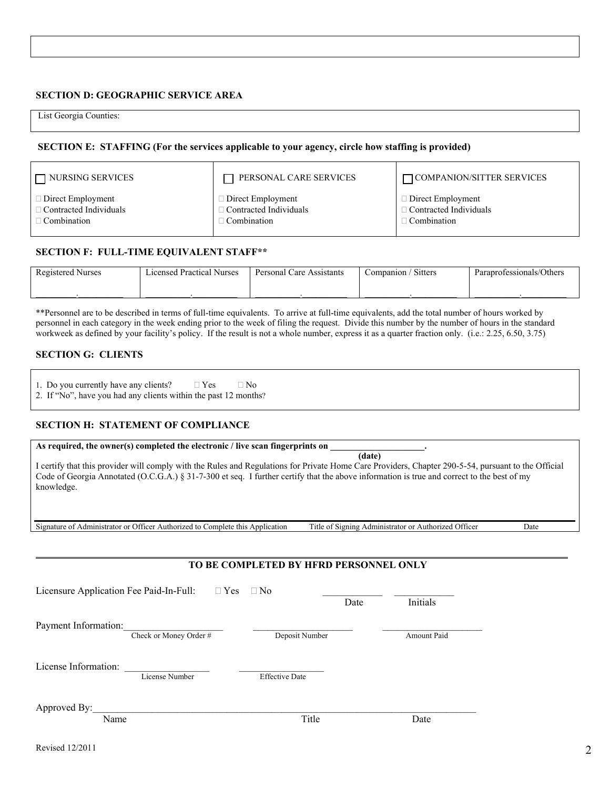#### **SECTION D: GEOGRAPHIC SERVICE AREA**

List Georgia Counties:

#### **SECTION E: STAFFING (For the services applicable to your agency, circle how staffing is provided)**

| $\Box$ NURSING SERVICES       | PERSONAL CARE SERVICES        | COMPANION/SITTER SERVICES     |
|-------------------------------|-------------------------------|-------------------------------|
| $\Box$ Direct Employment      | $\Box$ Direct Employment      | $\Box$ Direct Employment      |
| $\Box$ Contracted Individuals | $\Box$ Contracted Individuals | $\Box$ Contracted Individuals |
| $\Box$ Combination            | $\Box$ Combination            | $\Box$ Combination            |

#### **SECTION F: FULL-TIME EQUIVALENT STAFF\*\***

| Registered Nurses | <b>Licensed Practical Nurses</b> | Personal Care Assistants | Companion / Sitters | Paraprofessionals/Others |
|-------------------|----------------------------------|--------------------------|---------------------|--------------------------|
|                   |                                  |                          |                     |                          |
|                   |                                  |                          |                     |                          |

\*\*Personnel are to be described in terms of full-time equivalents. To arrive at full-time equivalents, add the total number of hours worked by personnel in each category in the week ending prior to the week of filing the request. Divide this number by the number of hours in the standard workweek as defined by your facility's policy. If the result is not a whole number, express it as a quarter fraction only. (i.e.: 2.25, 6.50, 3.75)

#### **SECTION G: CLIENTS**

- 1. Do you currently have any clients?  $\Box$  Yes  $\Box$  No
- 2. If "No", have you had any clients within the past 12 months?

#### **SECTION H: STATEMENT OF COMPLIANCE**

#### As required, the owner(s) completed the electronic / live scan fingerprints on

 **(date)**  I certify that this provider will comply with the Rules and Regulations for Private Home Care Providers, Chapter 290-5-54, pursuant to the Official Code of Georgia Annotated (O.C.G.A.) § 31-7-300 et seq. I further certify that the above information is true and correct to the best of my knowledge.

Signature of Administrator or Officer Authorized to Complete this Application Title of Signing Administrator or Authorized Officer Date

## \_\_\_\_\_\_\_\_\_\_\_\_\_\_\_\_\_\_\_\_\_\_\_\_\_\_\_\_\_\_\_\_\_\_\_\_\_\_\_\_\_\_\_\_\_\_\_\_\_\_\_\_\_\_\_\_\_\_\_\_\_\_\_\_\_\_\_\_\_\_\_\_\_\_\_\_\_\_\_\_\_\_\_\_\_\_\_\_\_ **TO BE COMPLETED BY HFRD PERSONNEL ONLY**

Licensure Application Fee Paid-In-Full:  $\Box$  Yes  $\Box$  No

Payment Information: Check or Money Order # Deposit Number Check or Money Order # Deposit Number

Check or Money Order  $#$ 

License Information: \_\_\_\_\_\_\_\_\_\_\_\_\_\_\_\_\_ \_\_\_\_\_\_\_\_\_\_\_\_\_\_\_\_\_

License Number

**Date** Initials

Approved By:

Name Title Date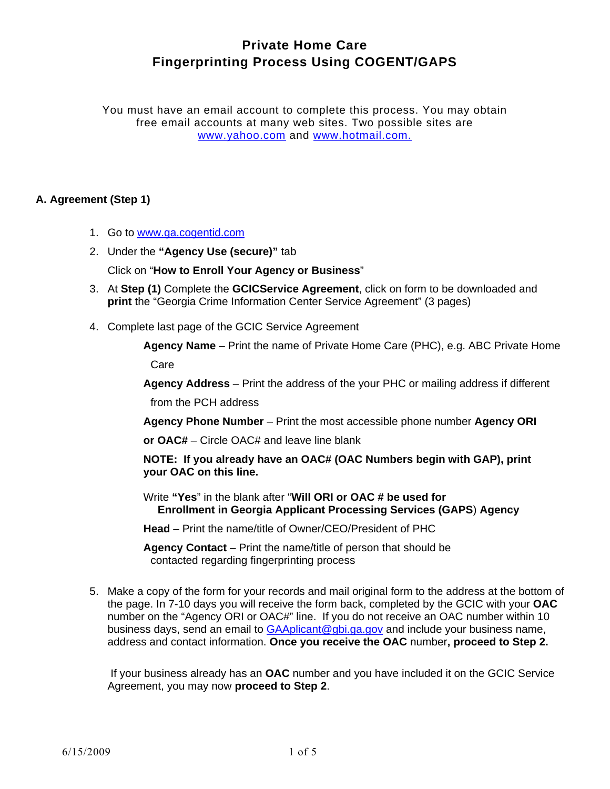# **Private Home Care Fingerprinting Process Using COGENT/GAPS**

You must have an email account to complete this process. You may obtain free email accounts at many web sites. Two possible sites are www.yahoo.com and www.hotmail.com.

## **A. Agreement (Step 1)**

- 1. Go to www.ga.cogentid.com
- 2. Under the **"Agency Use (secure)"** tab Click on "**How to Enroll Your Agency or Business**"
- 3. At **Step (1)** Complete the **GCICService Agreement**, click on form to be downloaded and **print** the "Georgia Crime Information Center Service Agreement" (3 pages)
- 4. Complete last page of the GCIC Service Agreement

**Agency Name** – Print the name of Private Home Care (PHC), e.g. ABC Private Home Care

**Agency Address** – Print the address of the your PHC or mailing address if different from the PCH address

**Agency Phone Number** – Print the most accessible phone number **Agency ORI** 

**or OAC#** – Circle OAC# and leave line blank

**NOTE: If you already have an OAC# (OAC Numbers begin with GAP), print your OAC on this line.** 

Write **"Yes**" in the blank after "**Will ORI or OAC # be used for Enrollment in Georgia Applicant Processing Services (GAPS**) **Agency** 

**Head** – Print the name/title of Owner/CEO/President of PHC

**Agency Contact** – Print the name/title of person that should be contacted regarding fingerprinting process

5. Make a copy of the form for your records and mail original form to the address at the bottom of the page. In 7-10 days you will receive the form back, completed by the GCIC with your **OAC**  number on the "Agency ORI or OAC#" line. If you do not receive an OAC number within 10 business days, send an email to GAAplicant@gbi.ga.gov and include your business name, address and contact information. **Once you receive the OAC** number**, proceed to Step 2.**

 If your business already has an **OAC** number and you have included it on the GCIC Service Agreement, you may now **proceed to Step 2**.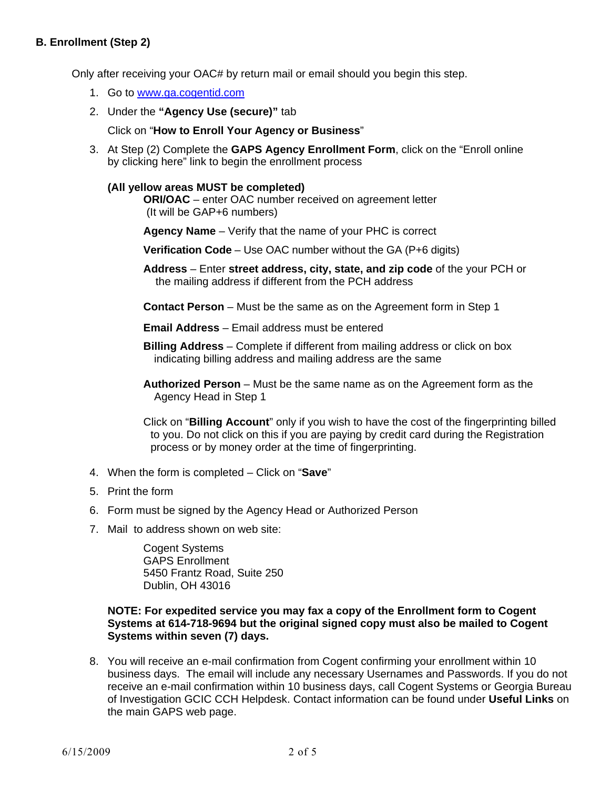## **B. Enrollment (Step 2)**

Only after receiving your OAC# by return mail or email should you begin this step.

- 1. Go to www.ga.cogentid.com
- 2. Under the **"Agency Use (secure)"** tab

#### Click on "**How to Enroll Your Agency or Business**"

3. At Step (2) Complete the **GAPS Agency Enrollment Form**, click on the "Enroll online by clicking here" link to begin the enrollment process

#### **(All yellow areas MUST be completed)**

**ORI/OAC** – enter OAC number received on agreement letter (It will be GAP+6 numbers)

- **Agency Name** Verify that the name of your PHC is correct
- **Verification Code** Use OAC number without the GA (P+6 digits)
- **Address**  Enter **street address, city, state, and zip code** of the your PCH or the mailing address if different from the PCH address
- **Contact Person** Must be the same as on the Agreement form in Step 1
- **Email Address** Email address must be entered
- **Billing Address** Complete if different from mailing address or click on box indicating billing address and mailing address are the same
- **Authorized Person** Must be the same name as on the Agreement form as the Agency Head in Step 1
- Click on "**Billing Account**" only if you wish to have the cost of the fingerprinting billed to you. Do not click on this if you are paying by credit card during the Registration process or by money order at the time of fingerprinting.
- 4. When the form is completed Click on "**Save**"
- 5. Print the form
- 6. Form must be signed by the Agency Head or Authorized Person
- 7. Mail to address shown on web site:

Cogent Systems GAPS Enrollment 5450 Frantz Road, Suite 250 Dublin, OH 43016

#### **NOTE: For expedited service you may fax a copy of the Enrollment form to Cogent Systems at 614-718-9694 but the original signed copy must also be mailed to Cogent Systems within seven (7) days.**

8. You will receive an e-mail confirmation from Cogent confirming your enrollment within 10 business days. The email will include any necessary Usernames and Passwords. If you do not receive an e-mail confirmation within 10 business days, call Cogent Systems or Georgia Bureau of Investigation GCIC CCH Helpdesk. Contact information can be found under **Useful Links** on the main GAPS web page.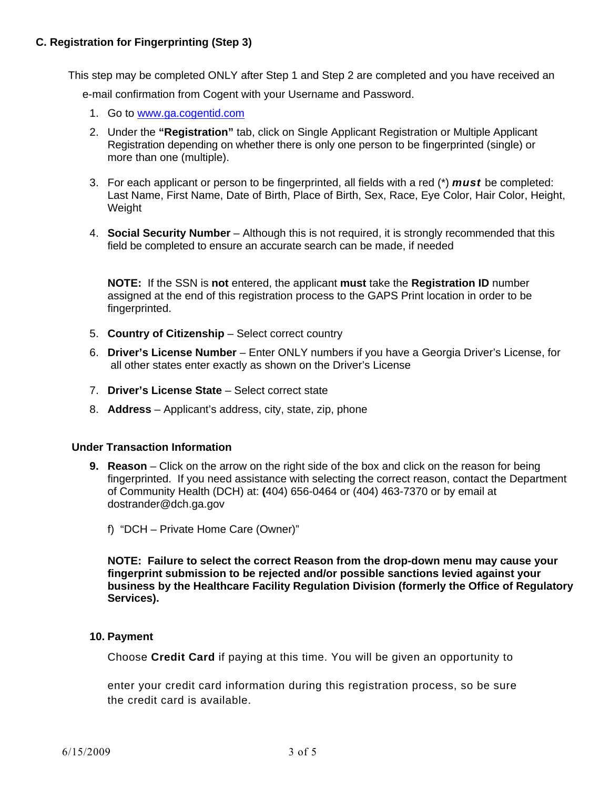This step may be completed ONLY after Step 1 and Step 2 are completed and you have received an

e-mail confirmation from Cogent with your Username and Password.

- 1. Go to www.ga.cogentid.com
- 2. Under the **"Registration"** tab, click on Single Applicant Registration or Multiple Applicant Registration depending on whether there is only one person to be fingerprinted (single) or more than one (multiple).
- 3. For each applicant or person to be fingerprinted, all fields with a red (\*) *must* be completed: Last Name, First Name, Date of Birth, Place of Birth, Sex, Race, Eye Color, Hair Color, Height, Weight
- 4. **Social Security Number** Although this is not required, it is strongly recommended that this field be completed to ensure an accurate search can be made, if needed

**NOTE:** If the SSN is **not** entered, the applicant **must** take the **Registration ID** number assigned at the end of this registration process to the GAPS Print location in order to be fingerprinted.

- 5. **Country of Citizenship** Select correct country
- 6. **Driver's License Number** Enter ONLY numbers if you have a Georgia Driver's License, for all other states enter exactly as shown on the Driver's License
- 7. **Driver's License State** Select correct state
- 8. **Address** Applicant's address, city, state, zip, phone

#### **Under Transaction Information**

- **9. Reason** Click on the arrow on the right side of the box and click on the reason for being fingerprinted. If you need assistance with selecting the correct reason, contact the Department of Community Health (DCH) at: **(**404) 656-0464 or (404) 463-7370 or by email at dostrander@dch.ga.gov
	- f) "DCH Private Home Care (Owner)"

**NOTE: Failure to select the correct Reason from the drop-down menu may cause your fingerprint submission to be rejected and/or possible sanctions levied against your business by the Healthcare Facility Regulation Division (formerly the Office of Regulatory Services).** 

## **10. Payment**

Choose **Credit Card** if paying at this time. You will be given an opportunity to

enter your credit card information during this registration process, so be sure the credit card is available.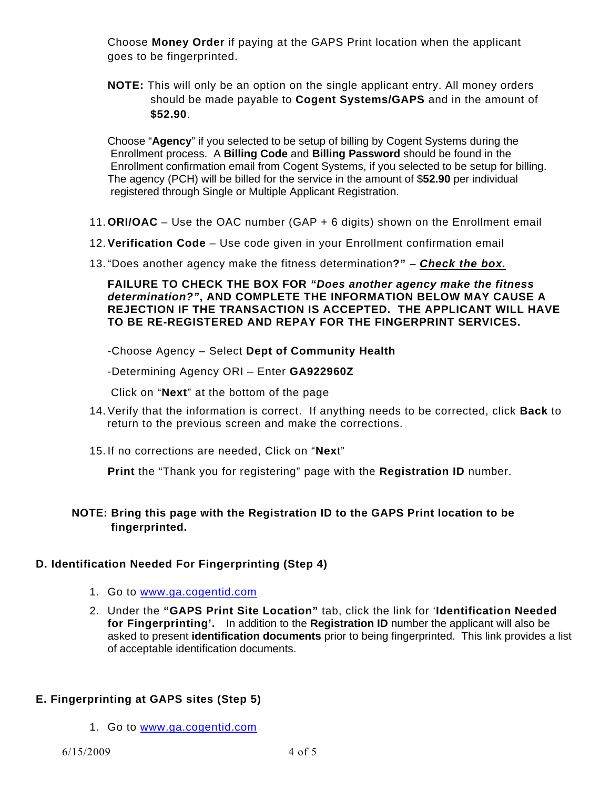Choose **Money Order** if paying at the GAPS Print location when the applicant goes to be fingerprinted.

**NOTE:** This will only be an option on the single applicant entry. All money orders should be made payable to **Cogent Systems/GAPS** and in the amount of **\$52.90**.

Choose "**Agency**" if you selected to be setup of billing by Cogent Systems during the Enrollment process. A **Billing Code** and **Billing Password** should be found in the Enrollment confirmation email from Cogent Systems, if you selected to be setup for billing. The agency (PCH) will be billed for the service in the amount of \$**52.90** per individual registered through Single or Multiple Applicant Registration.

- 11. **ORI/OAC** Use the OAC number (GAP + 6 digits) shown on the Enrollment email
- 12. **Verification Code** Use code given in your Enrollment confirmation email
- 13. "Does another agency make the fitness determination**?"** *Check the box.*

**FAILURE TO CHECK THE BOX FOR** *"Does another agency make the fitness determination?"***, AND COMPLETE THE INFORMATION BELOW MAY CAUSE A REJECTION IF THE TRANSACTION IS ACCEPTED. THE APPLICANT WILL HAVE TO BE RE-REGISTERED AND REPAY FOR THE FINGERPRINT SERVICES.** 

-Choose Agency – Select **Dept of Community Health**

-Determining Agency ORI – Enter **GA922960Z** 

Click on "**Next**" at the bottom of the page

- 14. Verify that the information is correct. If anything needs to be corrected, click **Back** to return to the previous screen and make the corrections.
- 15. If no corrections are needed, Click on "**Nex**t"

**Print** the "Thank you for registering" page with the **Registration ID** number.

## **NOTE: Bring this page with the Registration ID to the GAPS Print location to be fingerprinted.**

## **D. Identification Needed For Fingerprinting (Step 4)**

- 1.Go to www.ga.cogentid.com
- 2. Under the **"GAPS Print Site Location"** tab, click the link for '**Identification Needed for Fingerprinting'.** In addition to the **Registration ID** number the applicant will also be asked to present **identification documents** prior to being fingerprinted. This link provides a list of acceptable identification documents.

## **E. Fingerprinting at GAPS sites (Step 5)**

1. Go to www.ga.cogentid.com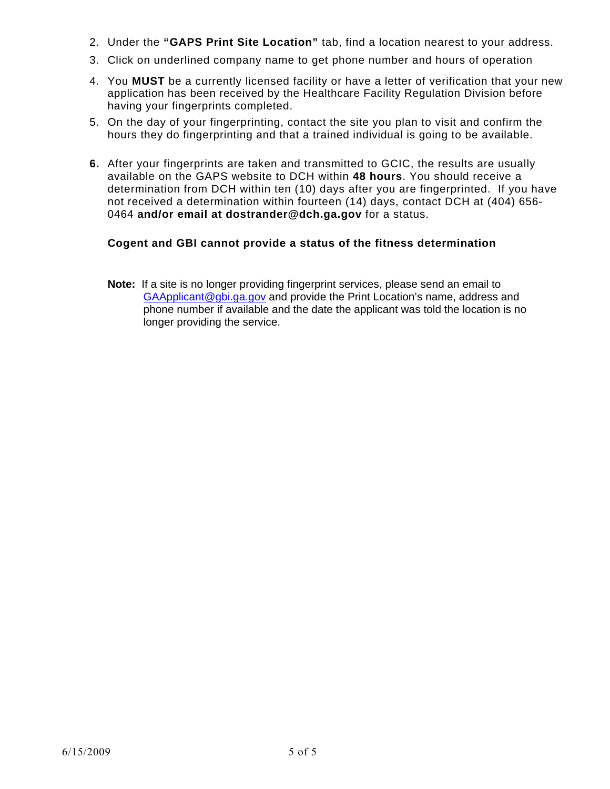- 2. Under the **"GAPS Print Site Location"** tab, find a location nearest to your address.
- 3. Click on underlined company name to get phone number and hours of operation
- 4. You **MUST** be a currently licensed facility or have a letter of verification that your new application has been received by the Healthcare Facility Regulation Division before having your fingerprints completed.
- 5. On the day of your fingerprinting, contact the site you plan to visit and confirm the hours they do fingerprinting and that a trained individual is going to be available.
- **6.** After your fingerprints are taken and transmitted to GCIC, the results are usually available on the GAPS website to DCH within **48 hours**. You should receive a determination from DCH within ten (10) days after you are fingerprinted. If you have not received a determination within fourteen (14) days, contact DCH at (404) 656- 0464 **and/or email at dostrander@dch.ga.gov** for a status.

#### **Cogent and GBI cannot provide a status of the fitness determination**

**Note:** If a site is no longer providing fingerprint services, please send an email to GAApplicant@gbi.ga.gov and provide the Print Location's name, address and phone number if available and the date the applicant was told the location is no longer providing the service.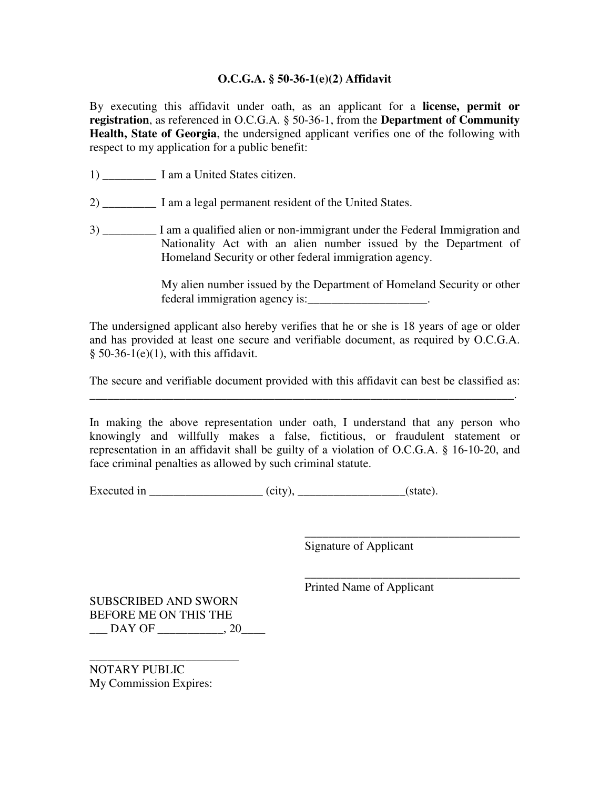## **O.C.G.A. § 50-36-1(e)(2) Affidavit**

By executing this affidavit under oath, as an applicant for a **license, permit or registration**, as referenced in O.C.G.A. § 50-36-1, from the **Department of Community Health, State of Georgia**, the undersigned applicant verifies one of the following with respect to my application for a public benefit:

- 1) \_\_\_\_\_\_\_\_\_ I am a United States citizen.
- 2) \_\_\_\_\_\_\_\_\_ I am a legal permanent resident of the United States.
- 3) \_\_\_\_\_\_\_\_\_ I am a qualified alien or non-immigrant under the Federal Immigration and Nationality Act with an alien number issued by the Department of Homeland Security or other federal immigration agency.

My alien number issued by the Department of Homeland Security or other federal immigration agency is:

The undersigned applicant also hereby verifies that he or she is 18 years of age or older and has provided at least one secure and verifiable document, as required by O.C.G.A. § 50-36-1(e)(1), with this affidavit.

The secure and verifiable document provided with this affidavit can best be classified as: \_\_\_\_\_\_\_\_\_\_\_\_\_\_\_\_\_\_\_\_\_\_\_\_\_\_\_\_\_\_\_\_\_\_\_\_\_\_\_\_\_\_\_\_\_\_\_\_\_\_\_\_\_\_\_\_\_\_\_\_\_\_\_\_\_\_\_\_\_\_\_.

In making the above representation under oath, I understand that any person who knowingly and willfully makes a false, fictitious, or fraudulent statement or representation in an affidavit shall be guilty of a violation of O.C.G.A. § 16-10-20, and face criminal penalties as allowed by such criminal statute.

Executed in  $\qquad \qquad$  (city),  $\qquad \qquad$  (state).

Signature of Applicant

Printed Name of Applicant

\_\_\_\_\_\_\_\_\_\_\_\_\_\_\_\_\_\_\_\_\_\_\_\_\_\_\_\_\_\_\_\_\_\_\_\_

\_\_\_\_\_\_\_\_\_\_\_\_\_\_\_\_\_\_\_\_\_\_\_\_\_\_\_\_\_\_\_\_\_\_\_\_

SUBSCRIBED AND SWORN BEFORE ME ON THIS THE \_\_\_ DAY OF \_\_\_\_\_\_\_\_\_\_\_, 20\_\_\_\_

\_\_\_\_\_\_\_\_\_\_\_\_\_\_\_\_\_\_\_\_\_\_\_\_\_

NOTARY PUBLIC My Commission Expires: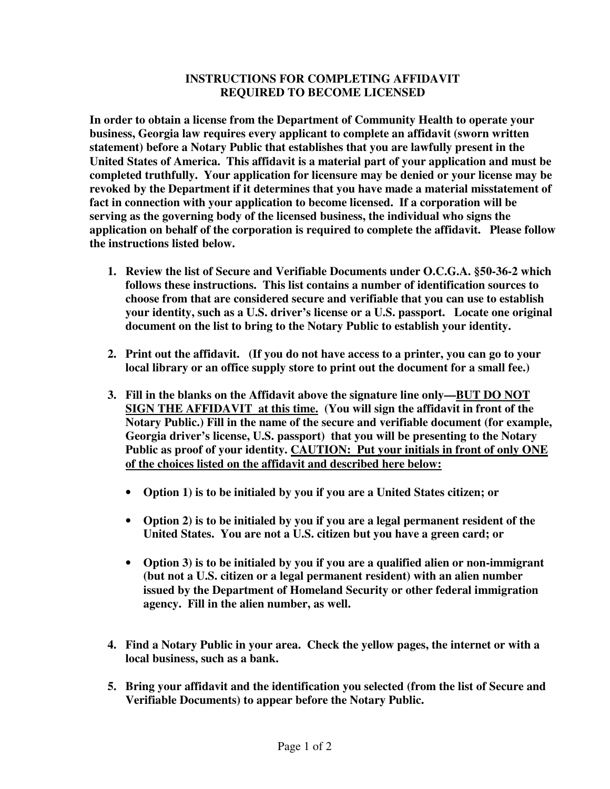## **INSTRUCTIONS FOR COMPLETING AFFIDAVIT REQUIRED TO BECOME LICENSED**

**In order to obtain a license from the Department of Community Health to operate your business, Georgia law requires every applicant to complete an affidavit (sworn written statement) before a Notary Public that establishes that you are lawfully present in the United States of America. This affidavit is a material part of your application and must be completed truthfully. Your application for licensure may be denied or your license may be revoked by the Department if it determines that you have made a material misstatement of fact in connection with your application to become licensed. If a corporation will be serving as the governing body of the licensed business, the individual who signs the application on behalf of the corporation is required to complete the affidavit. Please follow the instructions listed below.** 

- **1. Review the list of Secure and Verifiable Documents under O.C.G.A. §50-36-2 which follows these instructions. This list contains a number of identification sources to choose from that are considered secure and verifiable that you can use to establish your identity, such as a U.S. driver's license or a U.S. passport. Locate one original document on the list to bring to the Notary Public to establish your identity.**
- **2. Print out the affidavit. (If you do not have access to a printer, you can go to your local library or an office supply store to print out the document for a small fee.)**
- **3. Fill in the blanks on the Affidavit above the signature line only—BUT DO NOT SIGN THE AFFIDAVIT at this time. (You will sign the affidavit in front of the Notary Public.) Fill in the name of the secure and verifiable document (for example, Georgia driver's license, U.S. passport) that you will be presenting to the Notary Public as proof of your identity. CAUTION: Put your initials in front of only ONE of the choices listed on the affidavit and described here below:**
	- **Option 1) is to be initialed by you if you are a United States citizen; or**
	- **Option 2) is to be initialed by you if you are a legal permanent resident of the United States. You are not a U.S. citizen but you have a green card; or**
	- **Option 3) is to be initialed by you if you are a qualified alien or non-immigrant (but not a U.S. citizen or a legal permanent resident) with an alien number issued by the Department of Homeland Security or other federal immigration agency. Fill in the alien number, as well.**
- **4. Find a Notary Public in your area. Check the yellow pages, the internet or with a local business, such as a bank.**
- **5. Bring your affidavit and the identification you selected (from the list of Secure and Verifiable Documents) to appear before the Notary Public.**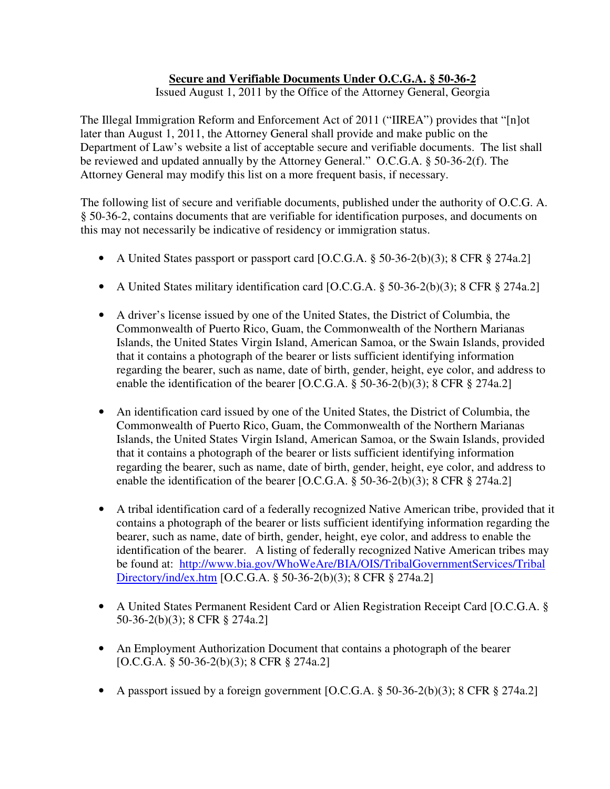# **Secure and Verifiable Documents Under O.C.G.A. § 50-36-2**

Issued August 1, 2011 by the Office of the Attorney General, Georgia

The Illegal Immigration Reform and Enforcement Act of 2011 ("IIREA") provides that "[n]ot later than August 1, 2011, the Attorney General shall provide and make public on the Department of Law's website a list of acceptable secure and verifiable documents. The list shall be reviewed and updated annually by the Attorney General." O.C.G.A. § 50-36-2(f). The Attorney General may modify this list on a more frequent basis, if necessary.

The following list of secure and verifiable documents, published under the authority of O.C.G. A. § 50-36-2, contains documents that are verifiable for identification purposes, and documents on this may not necessarily be indicative of residency or immigration status.

- A United States passport or passport card [O.C.G.A. § 50-36-2(b)(3); 8 CFR § 274a.2]
- A United States military identification card [O.C.G.A. § 50-36-2(b)(3); 8 CFR § 274a.2]
- A driver's license issued by one of the United States, the District of Columbia, the Commonwealth of Puerto Rico, Guam, the Commonwealth of the Northern Marianas Islands, the United States Virgin Island, American Samoa, or the Swain Islands, provided that it contains a photograph of the bearer or lists sufficient identifying information regarding the bearer, such as name, date of birth, gender, height, eye color, and address to enable the identification of the bearer [O.C.G.A. § 50-36-2(b)(3); 8 CFR § 274a.2]
- An identification card issued by one of the United States, the District of Columbia, the Commonwealth of Puerto Rico, Guam, the Commonwealth of the Northern Marianas Islands, the United States Virgin Island, American Samoa, or the Swain Islands, provided that it contains a photograph of the bearer or lists sufficient identifying information regarding the bearer, such as name, date of birth, gender, height, eye color, and address to enable the identification of the bearer [O.C.G.A. § 50-36-2(b)(3); 8 CFR § 274a.2]
- A tribal identification card of a federally recognized Native American tribe, provided that it contains a photograph of the bearer or lists sufficient identifying information regarding the bearer, such as name, date of birth, gender, height, eye color, and address to enable the identification of the bearer. A listing of federally recognized Native American tribes may be found at: http://www.bia.gov/WhoWeAre/BIA/OIS/TribalGovernmentServices/Tribal Directory/ind/ex.htm [O.C.G.A. § 50-36-2(b)(3); 8 CFR § 274a.2]
- A United States Permanent Resident Card or Alien Registration Receipt Card [O.C.G.A. § 50-36-2(b)(3); 8 CFR § 274a.2]
- An Employment Authorization Document that contains a photograph of the bearer [O.C.G.A. § 50-36-2(b)(3); 8 CFR § 274a.2]
- A passport issued by a foreign government [O.C.G.A. § 50-36-2(b)(3); 8 CFR § 274a.2]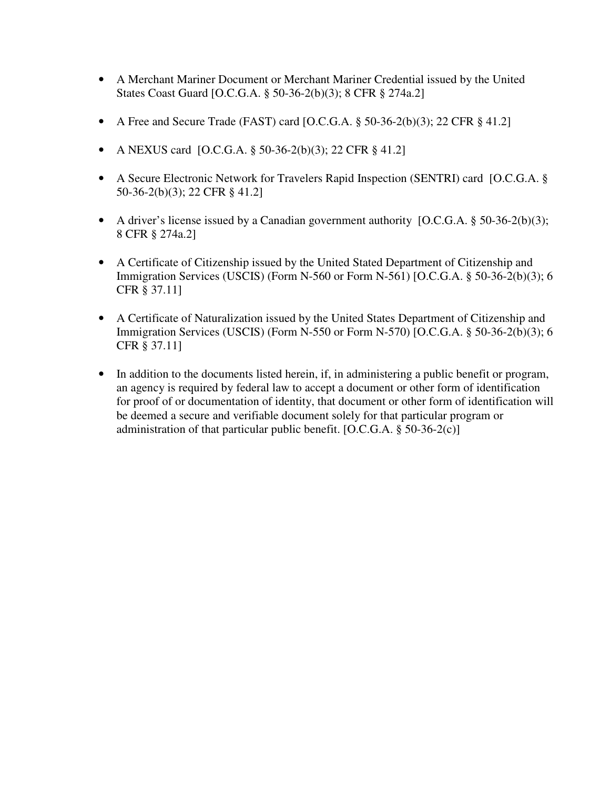- A Merchant Mariner Document or Merchant Mariner Credential issued by the United States Coast Guard [O.C.G.A. § 50-36-2(b)(3); 8 CFR § 274a.2]
- A Free and Secure Trade (FAST) card  $[O.C.G.A. \S 50-36-2(b)(3); 22 CFR \S 41.2]$
- A NEXUS card [O.C.G.A.  $\S$  50-36-2(b)(3); 22 CFR  $\S$  41.2]
- A Secure Electronic Network for Travelers Rapid Inspection (SENTRI) card [O.C.G.A. § 50-36-2(b)(3); 22 CFR § 41.2]
- A driver's license issued by a Canadian government authority [O.C.G.A. § 50-36-2(b)(3); 8 CFR § 274a.2]
- A Certificate of Citizenship issued by the United Stated Department of Citizenship and Immigration Services (USCIS) (Form N-560 or Form N-561) [O.C.G.A. § 50-36-2(b)(3); 6 CFR § 37.11]
- A Certificate of Naturalization issued by the United States Department of Citizenship and Immigration Services (USCIS) (Form N-550 or Form N-570) [O.C.G.A. § 50-36-2(b)(3); 6 CFR § 37.11]
- In addition to the documents listed herein, if, in administering a public benefit or program, an agency is required by federal law to accept a document or other form of identification for proof of or documentation of identity, that document or other form of identification will be deemed a secure and verifiable document solely for that particular program or administration of that particular public benefit. [O.C.G.A. § 50-36-2(c)]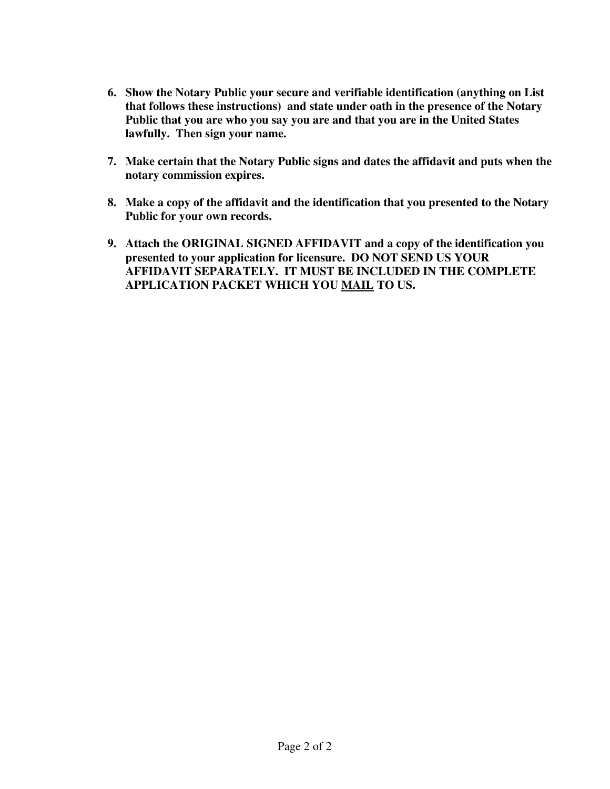- **6. Show the Notary Public your secure and verifiable identification (anything on List that follows these instructions) and state under oath in the presence of the Notary Public that you are who you say you are and that you are in the United States lawfully. Then sign your name.**
- **7. Make certain that the Notary Public signs and dates the affidavit and puts when the notary commission expires.**
- **8. Make a copy of the affidavit and the identification that you presented to the Notary Public for your own records.**
- **9. Attach the ORIGINAL SIGNED AFFIDAVIT and a copy of the identification you presented to your application for licensure. DO NOT SEND US YOUR AFFIDAVIT SEPARATELY. IT MUST BE INCLUDED IN THE COMPLETE APPLICATION PACKET WHICH YOU MAIL TO US.**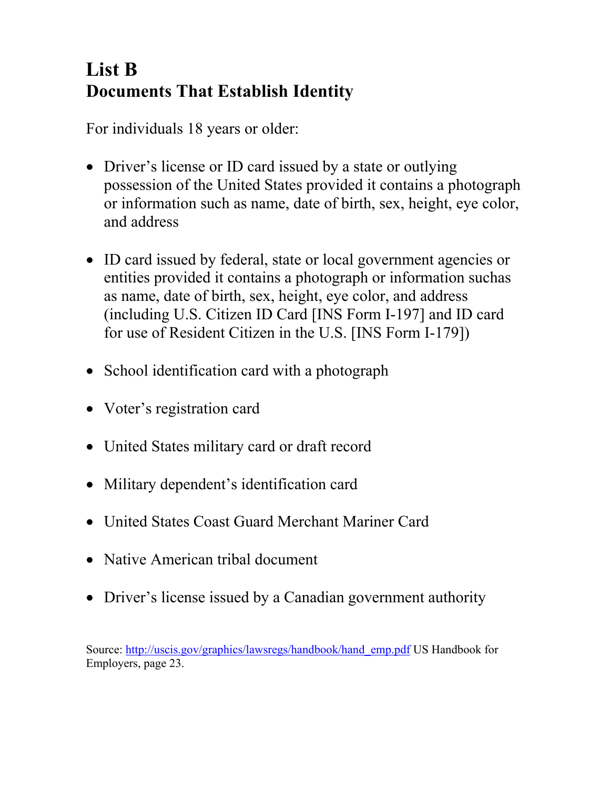# **List B Documents That Establish Identity**

For individuals 18 years or older:

- Driver's license or ID card issued by a state or outlying possession of the United States provided it contains a photograph or information such as name, date of birth, sex, height, eye color, and address
- ID card issued by federal, state or local government agencies or entities provided it contains a photograph or information suchas as name, date of birth, sex, height, eye color, and address (including U.S. Citizen ID Card [INS Form I-197] and ID card for use of Resident Citizen in the U.S. [INS Form I-179])
- School identification card with a photograph
- Voter's registration card
- United States military card or draft record
- Military dependent's identification card
- United States Coast Guard Merchant Mariner Card
- Native American tribal document
- Driver's license issued by a Canadian government authority

Source: http://uscis.gov/graphics/lawsregs/handbook/hand\_emp.pdf US Handbook for Employers, page 23.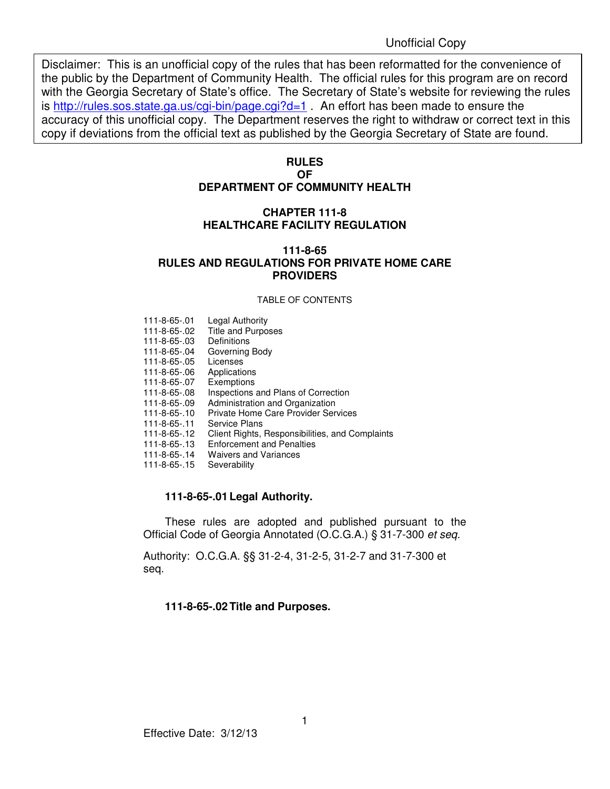## Unofficial Copy

Disclaimer: This is an unofficial copy of the rules that has been reformatted for the convenience of the public by the Department of Community Health. The official rules for this program are on record with the Georgia Secretary of State's office. The Secretary of State's website for reviewing the rules is http://rules.sos.state.ga.us/cgi-bin/page.cgi?d=1 . An effort has been made to ensure the accuracy of this unofficial copy. The Department reserves the right to withdraw or correct text in this copy if deviations from the official text as published by the Georgia Secretary of State are found.

#### **RULES OF DEPARTMENT OF COMMUNITY HEALTH**

#### **CHAPTER 111-8 HEALTHCARE FACILITY REGULATION**

#### **111-8-65 RULES AND REGULATIONS FOR PRIVATE HOME CARE PROVIDERS**

#### TABLE OF CONTENTS

| 111-8-65-.01 | Legal Authority                                 |
|--------------|-------------------------------------------------|
| 111-8-65-.02 | Title and Purposes                              |
| 111-8-65-.03 | Definitions                                     |
| 111-8-65-.04 | Governing Body                                  |
| 111-8-65-.05 | Licenses                                        |
| 111-8-65-.06 | Applications                                    |
| 111-8-65-.07 | Exemptions                                      |
| 111-8-65-.08 | Inspections and Plans of Correction             |
| 111-8-65-.09 | Administration and Organization                 |
| 111-8-65-.10 | Private Home Care Provider Services             |
| 111-8-65-.11 | Service Plans                                   |
| 111-8-65-.12 | Client Rights, Responsibilities, and Complaints |
| 111-8-65-.13 | <b>Enforcement and Penalties</b>                |
| 111-8-65-.14 | <b>Waivers and Variances</b>                    |
| 111-8-65-.15 | Severability                                    |

## **111-8-65-.01 Legal Authority.**

These rules are adopted and published pursuant to the Official Code of Georgia Annotated (O.C.G.A.) § 31-7-300 et seq.

Authority: O.C.G.A. §§ 31-2-4, 31-2-5, 31-2-7 and 31-7-300 et seq.

#### **111-8-65-.02 Title and Purposes.**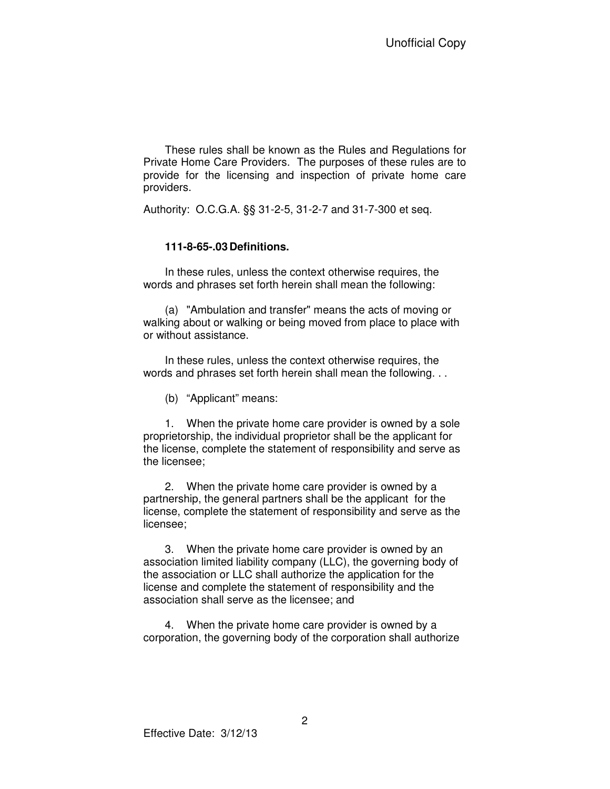These rules shall be known as the Rules and Regulations for Private Home Care Providers. The purposes of these rules are to provide for the licensing and inspection of private home care providers.

Authority: O.C.G.A. §§ 31-2-5, 31-2-7 and 31-7-300 et seq.

#### **111-8-65-.03 Definitions.**

In these rules, unless the context otherwise requires, the words and phrases set forth herein shall mean the following:

(a) "Ambulation and transfer" means the acts of moving or walking about or walking or being moved from place to place with or without assistance.

In these rules, unless the context otherwise requires, the words and phrases set forth herein shall mean the following. . .

(b) "Applicant" means:

1. When the private home care provider is owned by a sole proprietorship, the individual proprietor shall be the applicant for the license, complete the statement of responsibility and serve as the licensee;

2. When the private home care provider is owned by a partnership, the general partners shall be the applicant for the license, complete the statement of responsibility and serve as the licensee;

3. When the private home care provider is owned by an association limited liability company (LLC), the governing body of the association or LLC shall authorize the application for the license and complete the statement of responsibility and the association shall serve as the licensee; and

4. When the private home care provider is owned by a corporation, the governing body of the corporation shall authorize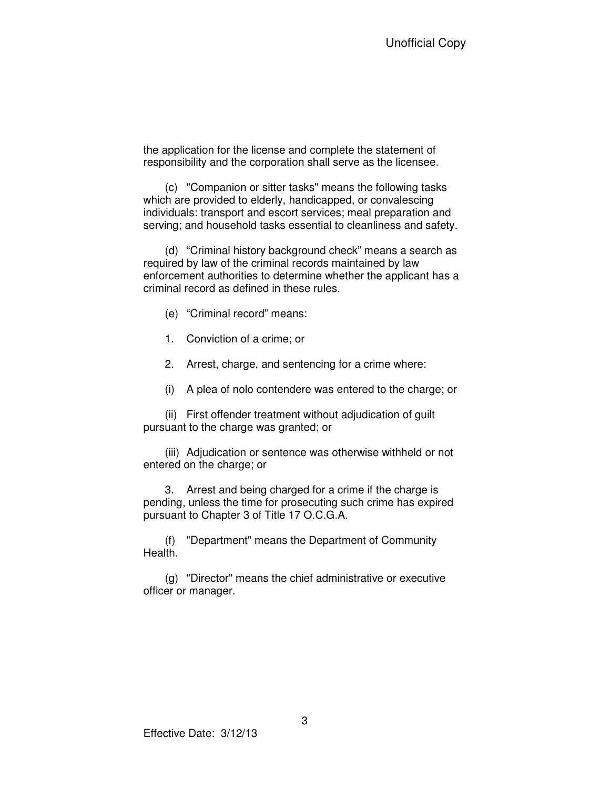the application for the license and complete the statement of responsibility and the corporation shall serve as the licensee.

(c) "Companion or sitter tasks" means the following tasks which are provided to elderly, handicapped, or convalescing individuals: transport and escort services; meal preparation and serving; and household tasks essential to cleanliness and safety.

(d) "Criminal history background check" means a search as required by law of the criminal records maintained by law enforcement authorities to determine whether the applicant has a criminal record as defined in these rules.

- (e) "Criminal record" means:
- 1. Conviction of a crime; or
- 2. Arrest, charge, and sentencing for a crime where:
- (i) A plea of nolo contendere was entered to the charge; or

(ii) First offender treatment without adjudication of guilt pursuant to the charge was granted; or

(iii) Adjudication or sentence was otherwise withheld or not entered on the charge; or

3. Arrest and being charged for a crime if the charge is pending, unless the time for prosecuting such crime has expired pursuant to Chapter 3 of Title 17 O.C.G.A.

(f) "Department" means the Department of Community Health.

(g) "Director" means the chief administrative or executive officer or manager.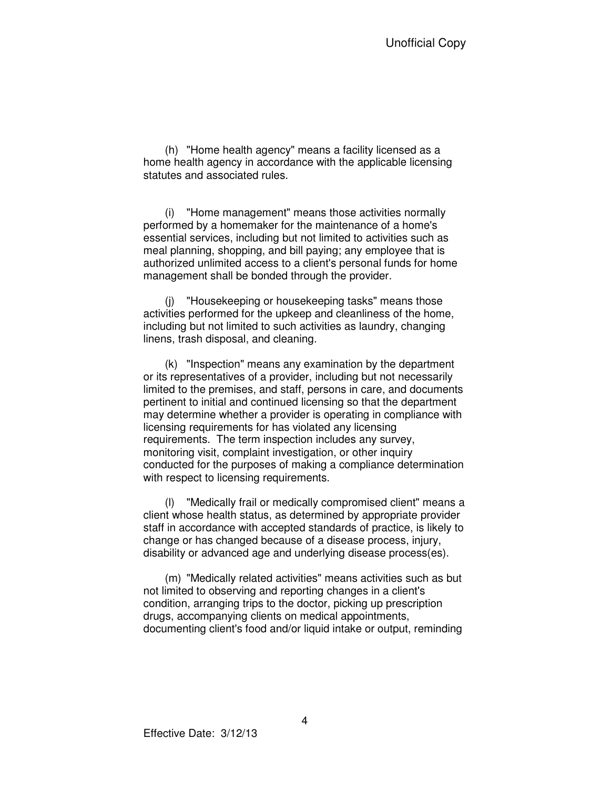(h) "Home health agency" means a facility licensed as a home health agency in accordance with the applicable licensing statutes and associated rules.

(i) "Home management" means those activities normally performed by a homemaker for the maintenance of a home's essential services, including but not limited to activities such as meal planning, shopping, and bill paying; any employee that is authorized unlimited access to a client's personal funds for home management shall be bonded through the provider.

(j) "Housekeeping or housekeeping tasks" means those activities performed for the upkeep and cleanliness of the home, including but not limited to such activities as laundry, changing linens, trash disposal, and cleaning.

(k) "Inspection" means any examination by the department or its representatives of a provider, including but not necessarily limited to the premises, and staff, persons in care, and documents pertinent to initial and continued licensing so that the department may determine whether a provider is operating in compliance with licensing requirements for has violated any licensing requirements. The term inspection includes any survey, monitoring visit, complaint investigation, or other inquiry conducted for the purposes of making a compliance determination with respect to licensing requirements.

(l) "Medically frail or medically compromised client" means a client whose health status, as determined by appropriate provider staff in accordance with accepted standards of practice, is likely to change or has changed because of a disease process, injury, disability or advanced age and underlying disease process(es).

(m) "Medically related activities" means activities such as but not limited to observing and reporting changes in a client's condition, arranging trips to the doctor, picking up prescription drugs, accompanying clients on medical appointments, documenting client's food and/or liquid intake or output, reminding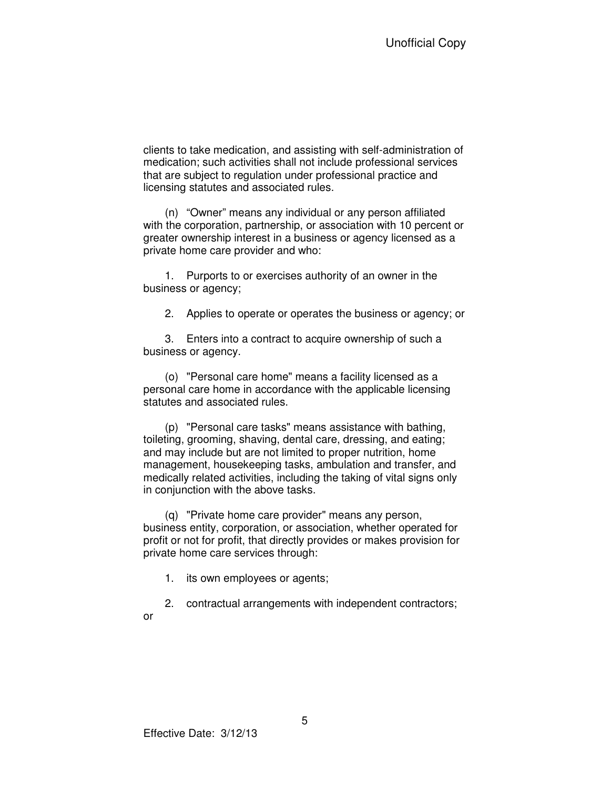clients to take medication, and assisting with self-administration of medication; such activities shall not include professional services that are subject to regulation under professional practice and licensing statutes and associated rules.

(n) "Owner" means any individual or any person affiliated with the corporation, partnership, or association with 10 percent or greater ownership interest in a business or agency licensed as a private home care provider and who:

1. Purports to or exercises authority of an owner in the business or agency;

2. Applies to operate or operates the business or agency; or

3. Enters into a contract to acquire ownership of such a business or agency.

(o) "Personal care home" means a facility licensed as a personal care home in accordance with the applicable licensing statutes and associated rules.

(p) "Personal care tasks" means assistance with bathing, toileting, grooming, shaving, dental care, dressing, and eating; and may include but are not limited to proper nutrition, home management, housekeeping tasks, ambulation and transfer, and medically related activities, including the taking of vital signs only in conjunction with the above tasks.

(q) "Private home care provider" means any person, business entity, corporation, or association, whether operated for profit or not for profit, that directly provides or makes provision for private home care services through:

1. its own employees or agents;

2. contractual arrangements with independent contractors;

or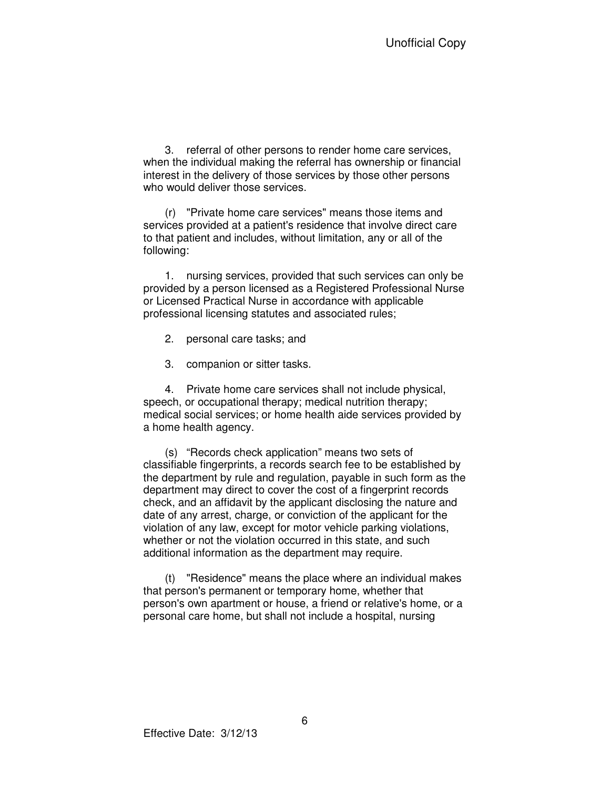3. referral of other persons to render home care services, when the individual making the referral has ownership or financial interest in the delivery of those services by those other persons who would deliver those services.

(r) "Private home care services" means those items and services provided at a patient's residence that involve direct care to that patient and includes, without limitation, any or all of the following:

1. nursing services, provided that such services can only be provided by a person licensed as a Registered Professional Nurse or Licensed Practical Nurse in accordance with applicable professional licensing statutes and associated rules;

- 2. personal care tasks; and
- 3. companion or sitter tasks.

4. Private home care services shall not include physical, speech, or occupational therapy; medical nutrition therapy; medical social services; or home health aide services provided by a home health agency.

(s) "Records check application" means two sets of classifiable fingerprints, a records search fee to be established by the department by rule and regulation, payable in such form as the department may direct to cover the cost of a fingerprint records check, and an affidavit by the applicant disclosing the nature and date of any arrest, charge, or conviction of the applicant for the violation of any law, except for motor vehicle parking violations, whether or not the violation occurred in this state, and such additional information as the department may require.

(t) "Residence" means the place where an individual makes that person's permanent or temporary home, whether that person's own apartment or house, a friend or relative's home, or a personal care home, but shall not include a hospital, nursing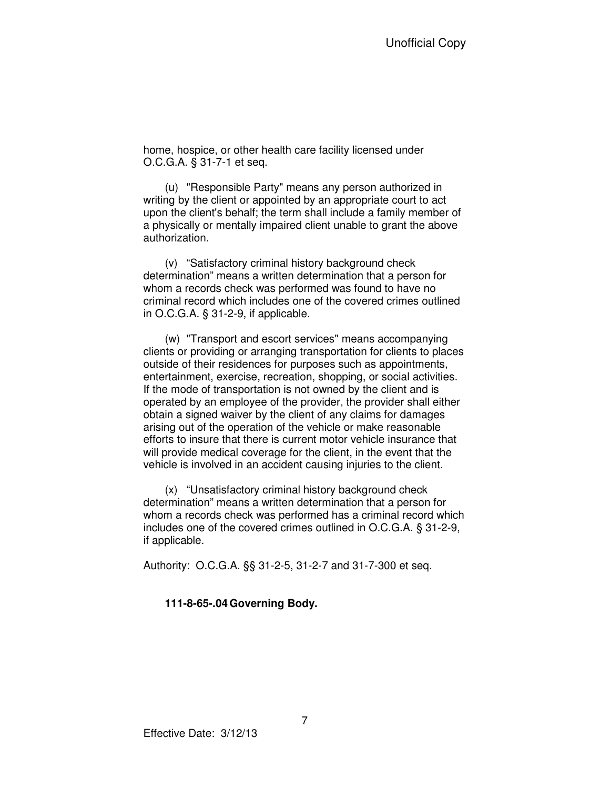home, hospice, or other health care facility licensed under O.C.G.A. § 31-7-1 et seq.

(u) "Responsible Party" means any person authorized in writing by the client or appointed by an appropriate court to act upon the client's behalf; the term shall include a family member of a physically or mentally impaired client unable to grant the above authorization.

(v) "Satisfactory criminal history background check determination" means a written determination that a person for whom a records check was performed was found to have no criminal record which includes one of the covered crimes outlined in O.C.G.A. § 31-2-9, if applicable.

(w) "Transport and escort services" means accompanying clients or providing or arranging transportation for clients to places outside of their residences for purposes such as appointments, entertainment, exercise, recreation, shopping, or social activities. If the mode of transportation is not owned by the client and is operated by an employee of the provider, the provider shall either obtain a signed waiver by the client of any claims for damages arising out of the operation of the vehicle or make reasonable efforts to insure that there is current motor vehicle insurance that will provide medical coverage for the client, in the event that the vehicle is involved in an accident causing injuries to the client.

(x) "Unsatisfactory criminal history background check determination" means a written determination that a person for whom a records check was performed has a criminal record which includes one of the covered crimes outlined in O.C.G.A. § 31-2-9, if applicable.

Authority: O.C.G.A. §§ 31-2-5, 31-2-7 and 31-7-300 et seq.

**111-8-65-.04 Governing Body.**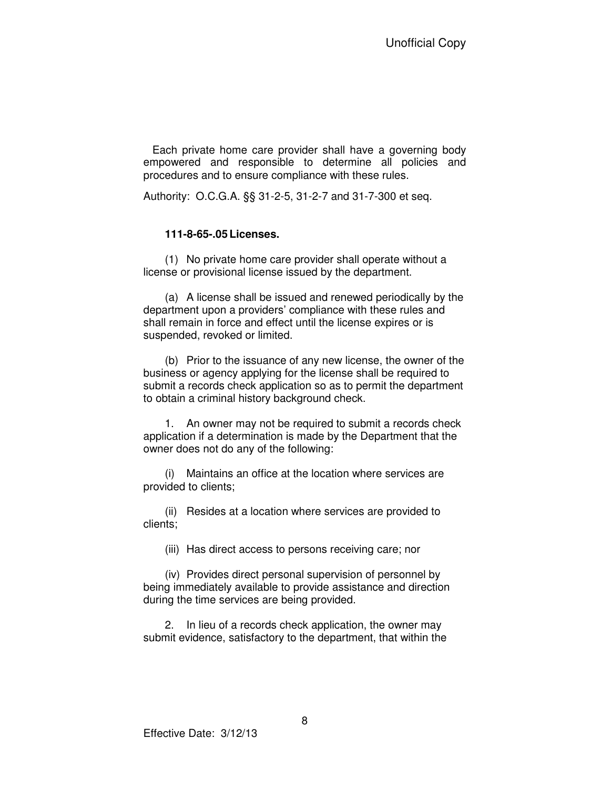Each private home care provider shall have a governing body empowered and responsible to determine all policies and procedures and to ensure compliance with these rules.

Authority: O.C.G.A. §§ 31-2-5, 31-2-7 and 31-7-300 et seq.

#### **111-8-65-.05 Licenses.**

(1) No private home care provider shall operate without a license or provisional license issued by the department.

(a) A license shall be issued and renewed periodically by the department upon a providers' compliance with these rules and shall remain in force and effect until the license expires or is suspended, revoked or limited.

(b) Prior to the issuance of any new license, the owner of the business or agency applying for the license shall be required to submit a records check application so as to permit the department to obtain a criminal history background check.

1. An owner may not be required to submit a records check application if a determination is made by the Department that the owner does not do any of the following:

(i) Maintains an office at the location where services are provided to clients;

(ii) Resides at a location where services are provided to clients;

(iii) Has direct access to persons receiving care; nor

(iv) Provides direct personal supervision of personnel by being immediately available to provide assistance and direction during the time services are being provided.

2. In lieu of a records check application, the owner may submit evidence, satisfactory to the department, that within the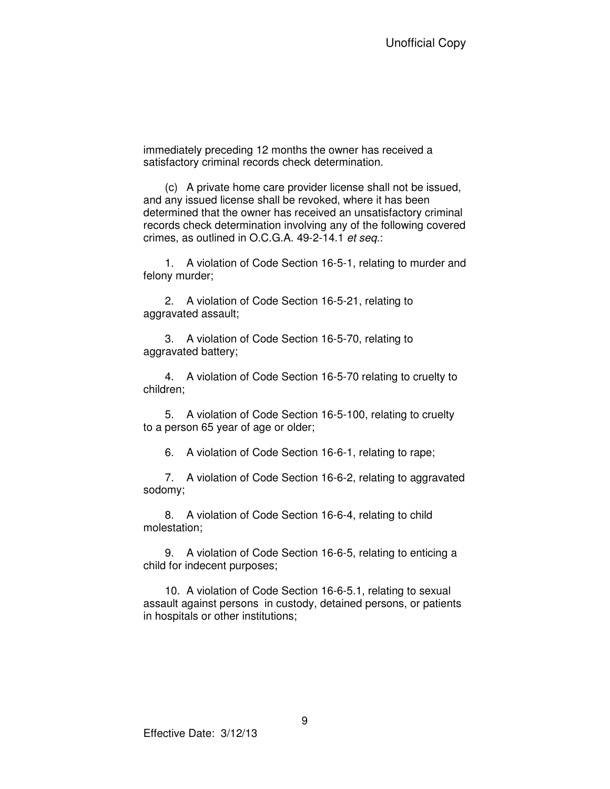immediately preceding 12 months the owner has received a satisfactory criminal records check determination.

(c) A private home care provider license shall not be issued, and any issued license shall be revoked, where it has been determined that the owner has received an unsatisfactory criminal records check determination involving any of the following covered crimes, as outlined in O.C.G.A. 49-2-14.1 et seq.:

1. A violation of Code Section 16-5-1, relating to murder and felony murder;

2. A violation of Code Section 16-5-21, relating to aggravated assault;

3. A violation of Code Section 16-5-70, relating to aggravated battery;

4. A violation of Code Section 16-5-70 relating to cruelty to children;

5. A violation of Code Section 16-5-100, relating to cruelty to a person 65 year of age or older;

6. A violation of Code Section 16-6-1, relating to rape;

7. A violation of Code Section 16-6-2, relating to aggravated sodomy;

8. A violation of Code Section 16-6-4, relating to child molestation;

9. A violation of Code Section 16-6-5, relating to enticing a child for indecent purposes;

10. A violation of Code Section 16-6-5.1, relating to sexual assault against persons in custody, detained persons, or patients in hospitals or other institutions;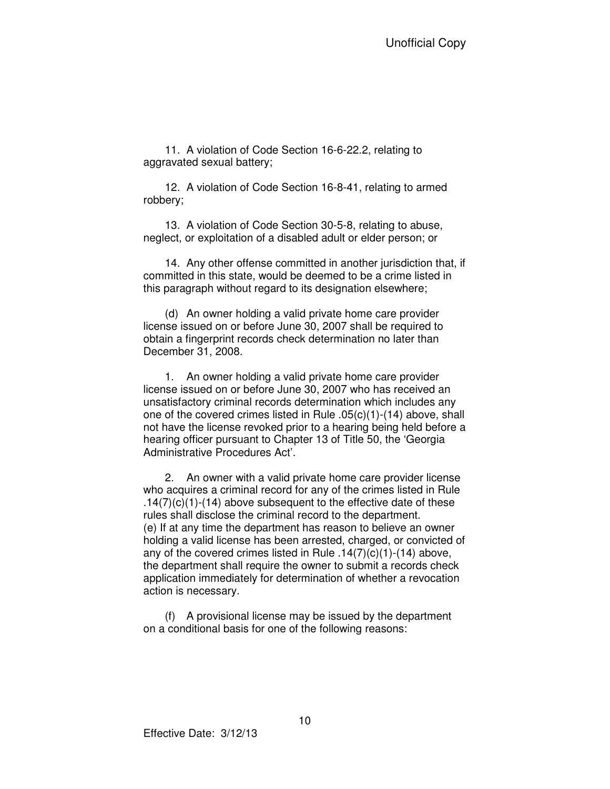11. A violation of Code Section 16-6-22.2, relating to aggravated sexual battery;

12. A violation of Code Section 16-8-41, relating to armed robbery;

13. A violation of Code Section 30-5-8, relating to abuse, neglect, or exploitation of a disabled adult or elder person; or

14. Any other offense committed in another jurisdiction that, if committed in this state, would be deemed to be a crime listed in this paragraph without regard to its designation elsewhere;

(d) An owner holding a valid private home care provider license issued on or before June 30, 2007 shall be required to obtain a fingerprint records check determination no later than December 31, 2008.

1. An owner holding a valid private home care provider license issued on or before June 30, 2007 who has received an unsatisfactory criminal records determination which includes any one of the covered crimes listed in Rule .05(c)(1)-(14) above, shall not have the license revoked prior to a hearing being held before a hearing officer pursuant to Chapter 13 of Title 50, the 'Georgia Administrative Procedures Act'.

2. An owner with a valid private home care provider license who acquires a criminal record for any of the crimes listed in Rule  $.14(7)(c)(1)-(14)$  above subsequent to the effective date of these rules shall disclose the criminal record to the department. (e) If at any time the department has reason to believe an owner holding a valid license has been arrested, charged, or convicted of any of the covered crimes listed in Rule .14(7)(c)(1)-(14) above, the department shall require the owner to submit a records check application immediately for determination of whether a revocation action is necessary.

(f) A provisional license may be issued by the department on a conditional basis for one of the following reasons: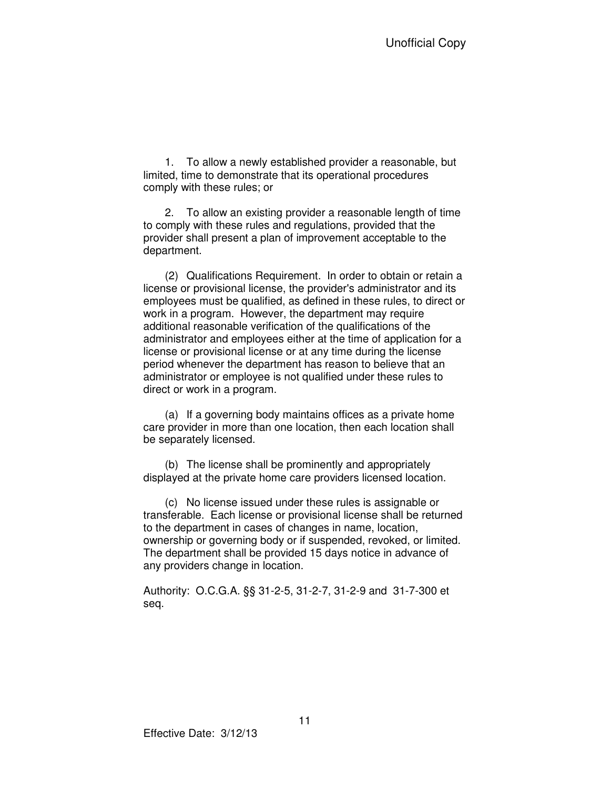1. To allow a newly established provider a reasonable, but limited, time to demonstrate that its operational procedures comply with these rules; or

2. To allow an existing provider a reasonable length of time to comply with these rules and regulations, provided that the provider shall present a plan of improvement acceptable to the department.

(2) Qualifications Requirement. In order to obtain or retain a license or provisional license, the provider's administrator and its employees must be qualified, as defined in these rules, to direct or work in a program. However, the department may require additional reasonable verification of the qualifications of the administrator and employees either at the time of application for a license or provisional license or at any time during the license period whenever the department has reason to believe that an administrator or employee is not qualified under these rules to direct or work in a program.

(a) If a governing body maintains offices as a private home care provider in more than one location, then each location shall be separately licensed.

(b) The license shall be prominently and appropriately displayed at the private home care providers licensed location.

(c) No license issued under these rules is assignable or transferable. Each license or provisional license shall be returned to the department in cases of changes in name, location, ownership or governing body or if suspended, revoked, or limited. The department shall be provided 15 days notice in advance of any providers change in location.

Authority: O.C.G.A. §§ 31-2-5, 31-2-7, 31-2-9 and 31-7-300 et seq.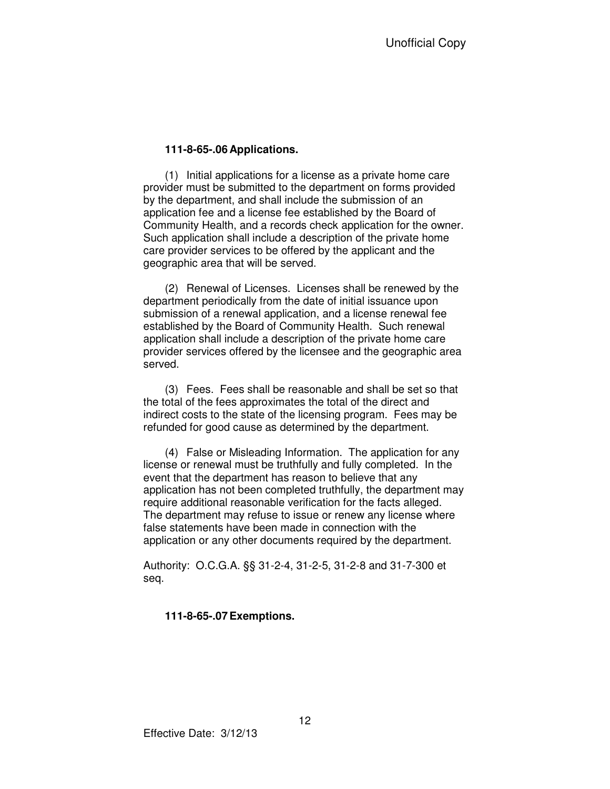#### **111-8-65-.06 Applications.**

(1) Initial applications for a license as a private home care provider must be submitted to the department on forms provided by the department, and shall include the submission of an application fee and a license fee established by the Board of Community Health, and a records check application for the owner. Such application shall include a description of the private home care provider services to be offered by the applicant and the geographic area that will be served.

(2) Renewal of Licenses. Licenses shall be renewed by the department periodically from the date of initial issuance upon submission of a renewal application, and a license renewal fee established by the Board of Community Health. Such renewal application shall include a description of the private home care provider services offered by the licensee and the geographic area served.

(3) Fees. Fees shall be reasonable and shall be set so that the total of the fees approximates the total of the direct and indirect costs to the state of the licensing program. Fees may be refunded for good cause as determined by the department.

(4) False or Misleading Information. The application for any license or renewal must be truthfully and fully completed. In the event that the department has reason to believe that any application has not been completed truthfully, the department may require additional reasonable verification for the facts alleged. The department may refuse to issue or renew any license where false statements have been made in connection with the application or any other documents required by the department.

Authority: O.C.G.A. §§ 31-2-4, 31-2-5, 31-2-8 and 31-7-300 et seq.

**111-8-65-.07 Exemptions.**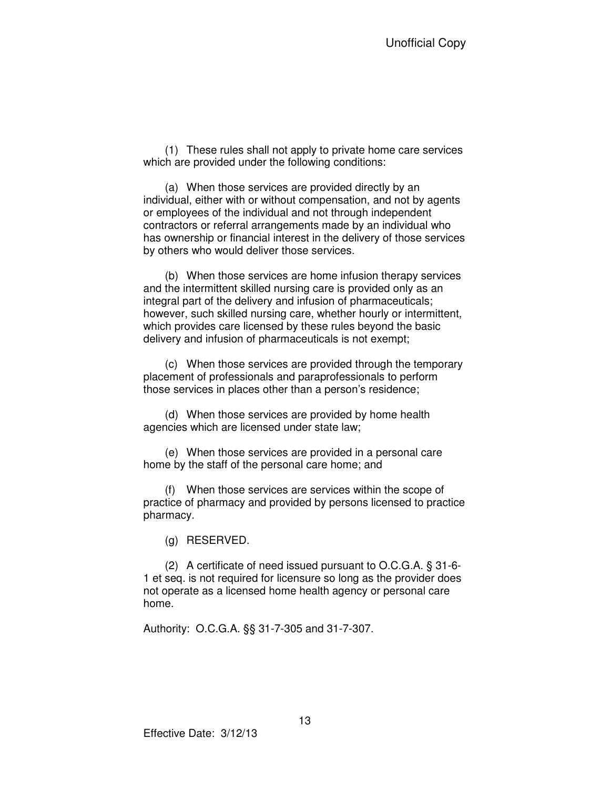(1) These rules shall not apply to private home care services which are provided under the following conditions:

(a) When those services are provided directly by an individual, either with or without compensation, and not by agents or employees of the individual and not through independent contractors or referral arrangements made by an individual who has ownership or financial interest in the delivery of those services by others who would deliver those services.

(b) When those services are home infusion therapy services and the intermittent skilled nursing care is provided only as an integral part of the delivery and infusion of pharmaceuticals; however, such skilled nursing care, whether hourly or intermittent, which provides care licensed by these rules beyond the basic delivery and infusion of pharmaceuticals is not exempt;

(c) When those services are provided through the temporary placement of professionals and paraprofessionals to perform those services in places other than a person's residence;

(d) When those services are provided by home health agencies which are licensed under state law;

(e) When those services are provided in a personal care home by the staff of the personal care home; and

(f) When those services are services within the scope of practice of pharmacy and provided by persons licensed to practice pharmacy.

(g) RESERVED.

(2) A certificate of need issued pursuant to O.C.G.A. § 31-6- 1 et seq. is not required for licensure so long as the provider does not operate as a licensed home health agency or personal care home.

Authority: O.C.G.A. §§ 31-7-305 and 31-7-307.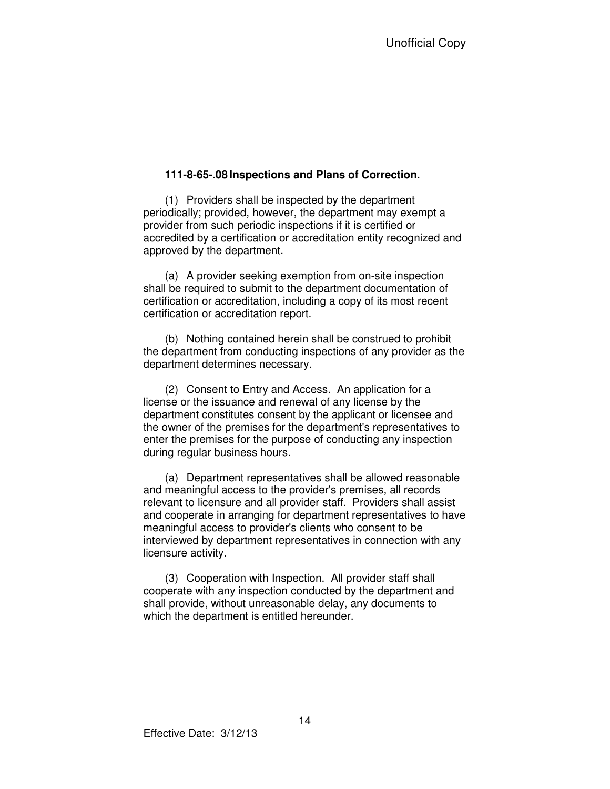## **111-8-65-.08 Inspections and Plans of Correction.**

(1) Providers shall be inspected by the department periodically; provided, however, the department may exempt a provider from such periodic inspections if it is certified or accredited by a certification or accreditation entity recognized and approved by the department.

(a) A provider seeking exemption from on-site inspection shall be required to submit to the department documentation of certification or accreditation, including a copy of its most recent certification or accreditation report.

(b) Nothing contained herein shall be construed to prohibit the department from conducting inspections of any provider as the department determines necessary.

(2) Consent to Entry and Access. An application for a license or the issuance and renewal of any license by the department constitutes consent by the applicant or licensee and the owner of the premises for the department's representatives to enter the premises for the purpose of conducting any inspection during regular business hours.

(a) Department representatives shall be allowed reasonable and meaningful access to the provider's premises, all records relevant to licensure and all provider staff. Providers shall assist and cooperate in arranging for department representatives to have meaningful access to provider's clients who consent to be interviewed by department representatives in connection with any licensure activity.

(3) Cooperation with Inspection. All provider staff shall cooperate with any inspection conducted by the department and shall provide, without unreasonable delay, any documents to which the department is entitled hereunder.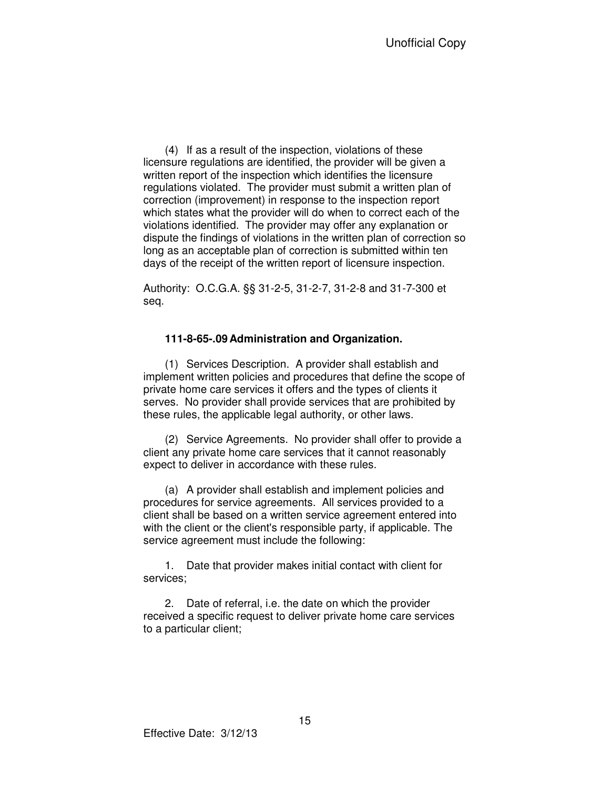(4) If as a result of the inspection, violations of these licensure regulations are identified, the provider will be given a written report of the inspection which identifies the licensure regulations violated. The provider must submit a written plan of correction (improvement) in response to the inspection report which states what the provider will do when to correct each of the violations identified. The provider may offer any explanation or dispute the findings of violations in the written plan of correction so long as an acceptable plan of correction is submitted within ten days of the receipt of the written report of licensure inspection.

Authority: O.C.G.A. §§ 31-2-5, 31-2-7, 31-2-8 and 31-7-300 et seq.

## **111-8-65-.09 Administration and Organization.**

(1) Services Description. A provider shall establish and implement written policies and procedures that define the scope of private home care services it offers and the types of clients it serves. No provider shall provide services that are prohibited by these rules, the applicable legal authority, or other laws.

(2) Service Agreements. No provider shall offer to provide a client any private home care services that it cannot reasonably expect to deliver in accordance with these rules.

(a) A provider shall establish and implement policies and procedures for service agreements. All services provided to a client shall be based on a written service agreement entered into with the client or the client's responsible party, if applicable. The service agreement must include the following:

1. Date that provider makes initial contact with client for services;

2. Date of referral, i.e. the date on which the provider received a specific request to deliver private home care services to a particular client;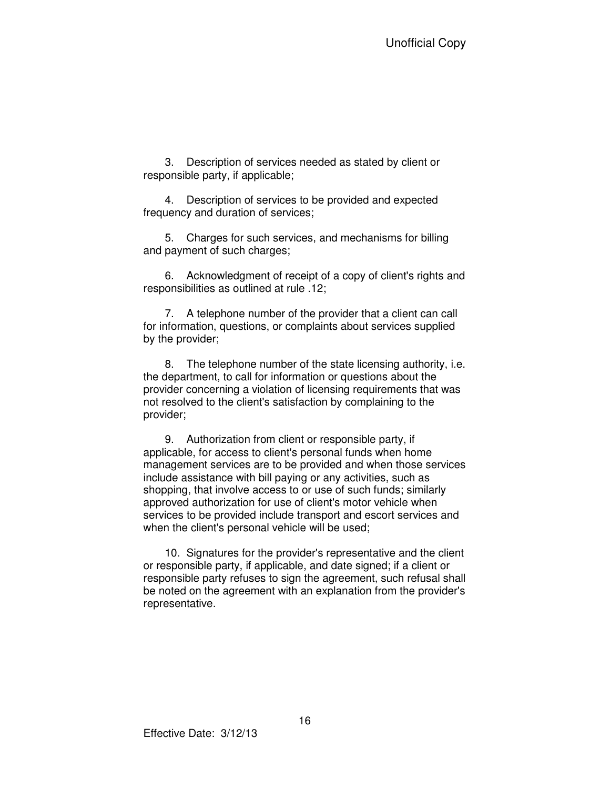3. Description of services needed as stated by client or responsible party, if applicable;

4. Description of services to be provided and expected frequency and duration of services;

5. Charges for such services, and mechanisms for billing and payment of such charges;

6. Acknowledgment of receipt of a copy of client's rights and responsibilities as outlined at rule .12;

7. A telephone number of the provider that a client can call for information, questions, or complaints about services supplied by the provider;

8. The telephone number of the state licensing authority, i.e. the department, to call for information or questions about the provider concerning a violation of licensing requirements that was not resolved to the client's satisfaction by complaining to the provider;

9. Authorization from client or responsible party, if applicable, for access to client's personal funds when home management services are to be provided and when those services include assistance with bill paying or any activities, such as shopping, that involve access to or use of such funds; similarly approved authorization for use of client's motor vehicle when services to be provided include transport and escort services and when the client's personal vehicle will be used;

10. Signatures for the provider's representative and the client or responsible party, if applicable, and date signed; if a client or responsible party refuses to sign the agreement, such refusal shall be noted on the agreement with an explanation from the provider's representative.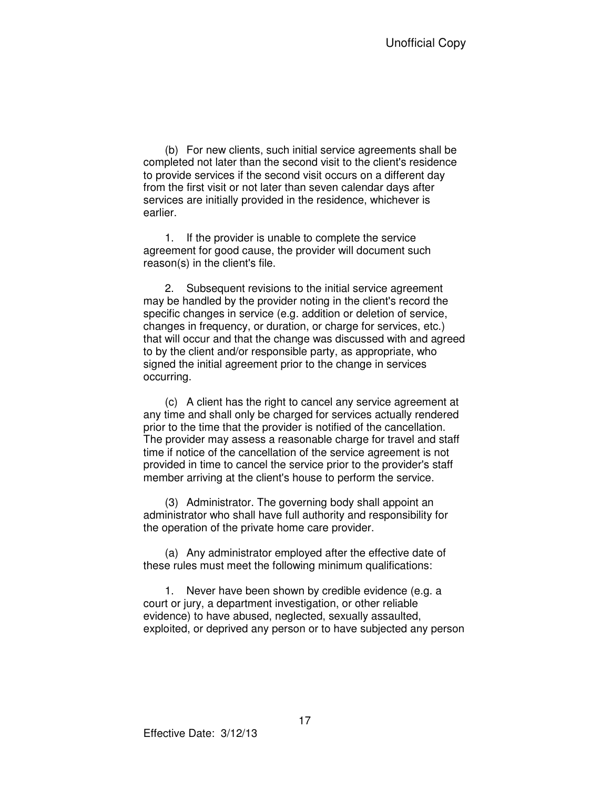(b) For new clients, such initial service agreements shall be completed not later than the second visit to the client's residence to provide services if the second visit occurs on a different day from the first visit or not later than seven calendar days after services are initially provided in the residence, whichever is earlier.

1. If the provider is unable to complete the service agreement for good cause, the provider will document such reason(s) in the client's file.

2. Subsequent revisions to the initial service agreement may be handled by the provider noting in the client's record the specific changes in service (e.g. addition or deletion of service, changes in frequency, or duration, or charge for services, etc.) that will occur and that the change was discussed with and agreed to by the client and/or responsible party, as appropriate, who signed the initial agreement prior to the change in services occurring.

(c) A client has the right to cancel any service agreement at any time and shall only be charged for services actually rendered prior to the time that the provider is notified of the cancellation. The provider may assess a reasonable charge for travel and staff time if notice of the cancellation of the service agreement is not provided in time to cancel the service prior to the provider's staff member arriving at the client's house to perform the service.

(3) Administrator. The governing body shall appoint an administrator who shall have full authority and responsibility for the operation of the private home care provider.

(a) Any administrator employed after the effective date of these rules must meet the following minimum qualifications:

1. Never have been shown by credible evidence (e.g. a court or jury, a department investigation, or other reliable evidence) to have abused, neglected, sexually assaulted, exploited, or deprived any person or to have subjected any person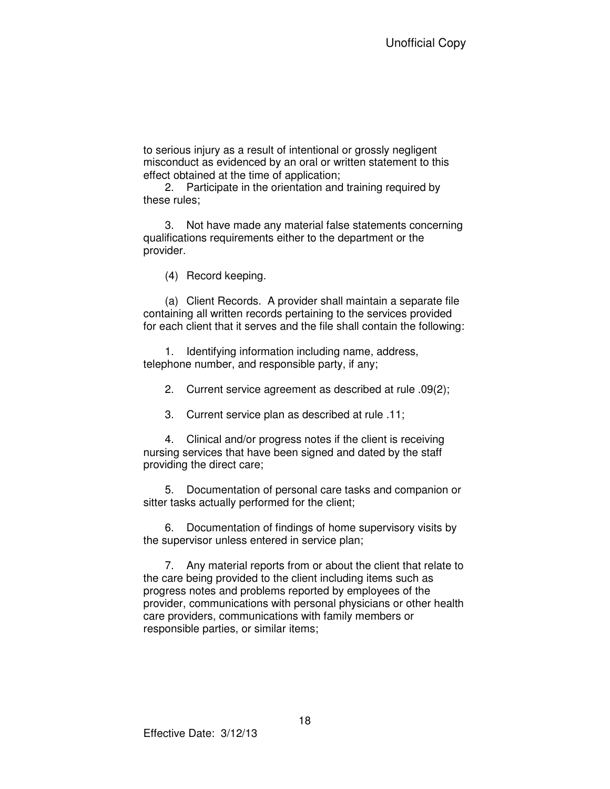to serious injury as a result of intentional or grossly negligent misconduct as evidenced by an oral or written statement to this effect obtained at the time of application;

2. Participate in the orientation and training required by these rules;

3. Not have made any material false statements concerning qualifications requirements either to the department or the provider.

(4) Record keeping.

(a) Client Records. A provider shall maintain a separate file containing all written records pertaining to the services provided for each client that it serves and the file shall contain the following:

1. Identifying information including name, address, telephone number, and responsible party, if any;

- 2. Current service agreement as described at rule .09(2);
- 3. Current service plan as described at rule .11;

4. Clinical and/or progress notes if the client is receiving nursing services that have been signed and dated by the staff providing the direct care;

5. Documentation of personal care tasks and companion or sitter tasks actually performed for the client;

6. Documentation of findings of home supervisory visits by the supervisor unless entered in service plan;

7. Any material reports from or about the client that relate to the care being provided to the client including items such as progress notes and problems reported by employees of the provider, communications with personal physicians or other health care providers, communications with family members or responsible parties, or similar items;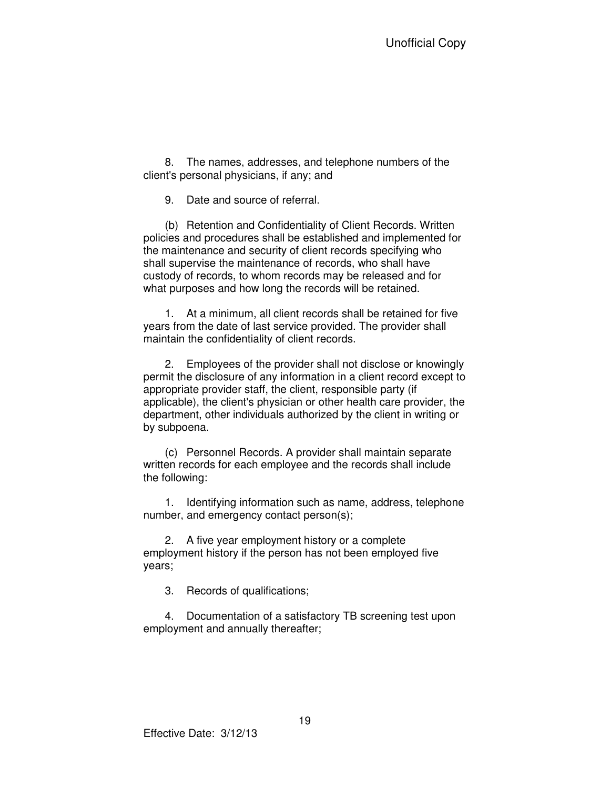8. The names, addresses, and telephone numbers of the client's personal physicians, if any; and

9. Date and source of referral.

(b) Retention and Confidentiality of Client Records. Written policies and procedures shall be established and implemented for the maintenance and security of client records specifying who shall supervise the maintenance of records, who shall have custody of records, to whom records may be released and for what purposes and how long the records will be retained.

1. At a minimum, all client records shall be retained for five years from the date of last service provided. The provider shall maintain the confidentiality of client records.

2. Employees of the provider shall not disclose or knowingly permit the disclosure of any information in a client record except to appropriate provider staff, the client, responsible party (if applicable), the client's physician or other health care provider, the department, other individuals authorized by the client in writing or by subpoena.

(c) Personnel Records. A provider shall maintain separate written records for each employee and the records shall include the following:

1. Identifying information such as name, address, telephone number, and emergency contact person(s);

2. A five year employment history or a complete employment history if the person has not been employed five years;

3. Records of qualifications;

4. Documentation of a satisfactory TB screening test upon employment and annually thereafter;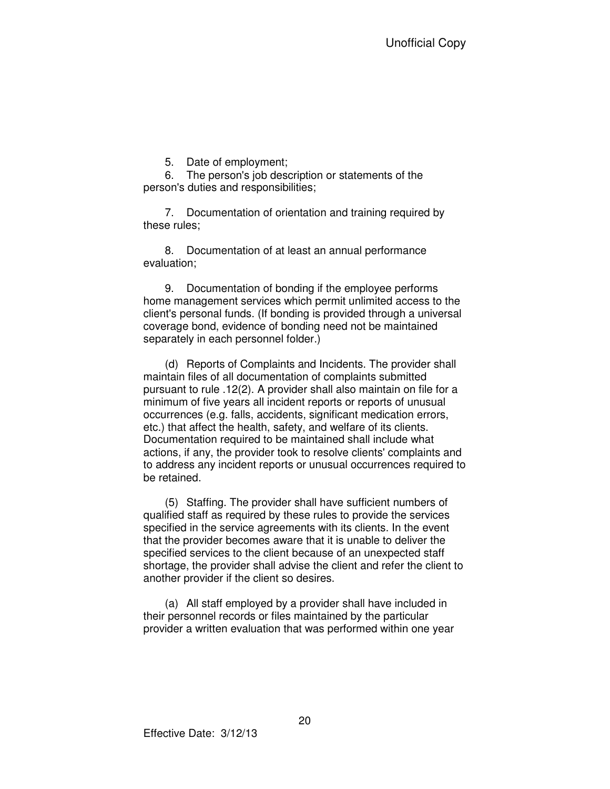5. Date of employment;

6. The person's job description or statements of the person's duties and responsibilities;

7. Documentation of orientation and training required by these rules;

8. Documentation of at least an annual performance evaluation;

9. Documentation of bonding if the employee performs home management services which permit unlimited access to the client's personal funds. (If bonding is provided through a universal coverage bond, evidence of bonding need not be maintained separately in each personnel folder.)

(d) Reports of Complaints and Incidents. The provider shall maintain files of all documentation of complaints submitted pursuant to rule .12(2). A provider shall also maintain on file for a minimum of five years all incident reports or reports of unusual occurrences (e.g. falls, accidents, significant medication errors, etc.) that affect the health, safety, and welfare of its clients. Documentation required to be maintained shall include what actions, if any, the provider took to resolve clients' complaints and to address any incident reports or unusual occurrences required to be retained.

(5) Staffing. The provider shall have sufficient numbers of qualified staff as required by these rules to provide the services specified in the service agreements with its clients. In the event that the provider becomes aware that it is unable to deliver the specified services to the client because of an unexpected staff shortage, the provider shall advise the client and refer the client to another provider if the client so desires.

(a) All staff employed by a provider shall have included in their personnel records or files maintained by the particular provider a written evaluation that was performed within one year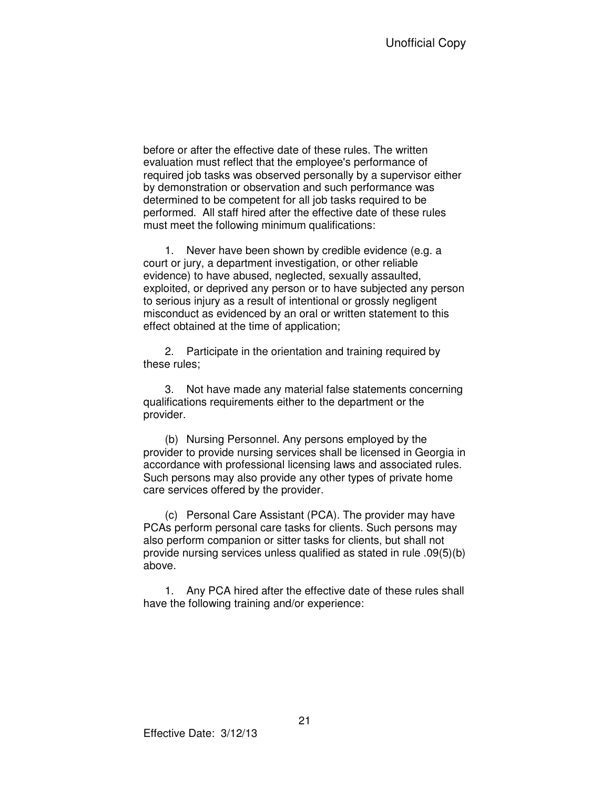before or after the effective date of these rules. The written evaluation must reflect that the employee's performance of required job tasks was observed personally by a supervisor either by demonstration or observation and such performance was determined to be competent for all job tasks required to be performed. All staff hired after the effective date of these rules must meet the following minimum qualifications:

1. Never have been shown by credible evidence (e.g. a court or jury, a department investigation, or other reliable evidence) to have abused, neglected, sexually assaulted, exploited, or deprived any person or to have subjected any person to serious injury as a result of intentional or grossly negligent misconduct as evidenced by an oral or written statement to this effect obtained at the time of application;

2. Participate in the orientation and training required by these rules;

3. Not have made any material false statements concerning qualifications requirements either to the department or the provider.

(b) Nursing Personnel. Any persons employed by the provider to provide nursing services shall be licensed in Georgia in accordance with professional licensing laws and associated rules. Such persons may also provide any other types of private home care services offered by the provider.

(c) Personal Care Assistant (PCA). The provider may have PCAs perform personal care tasks for clients. Such persons may also perform companion or sitter tasks for clients, but shall not provide nursing services unless qualified as stated in rule .09(5)(b) above.

1. Any PCA hired after the effective date of these rules shall have the following training and/or experience: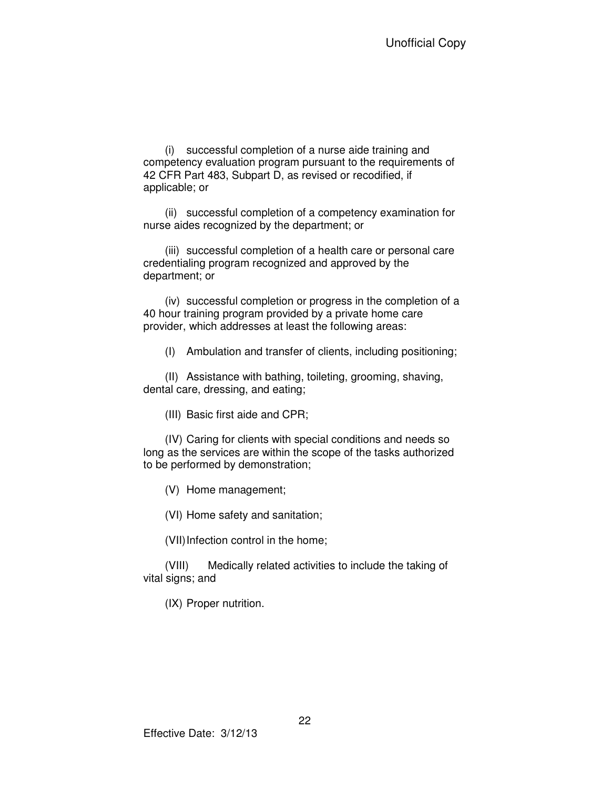(i) successful completion of a nurse aide training and competency evaluation program pursuant to the requirements of 42 CFR Part 483, Subpart D, as revised or recodified, if applicable; or

(ii) successful completion of a competency examination for nurse aides recognized by the department; or

(iii) successful completion of a health care or personal care credentialing program recognized and approved by the department; or

(iv) successful completion or progress in the completion of a 40 hour training program provided by a private home care provider, which addresses at least the following areas:

(I) Ambulation and transfer of clients, including positioning;

(II) Assistance with bathing, toileting, grooming, shaving, dental care, dressing, and eating;

(III) Basic first aide and CPR;

(IV) Caring for clients with special conditions and needs so long as the services are within the scope of the tasks authorized to be performed by demonstration;

(V) Home management;

(VI) Home safety and sanitation;

(VII) Infection control in the home;

(VIII) Medically related activities to include the taking of vital signs; and

(IX) Proper nutrition.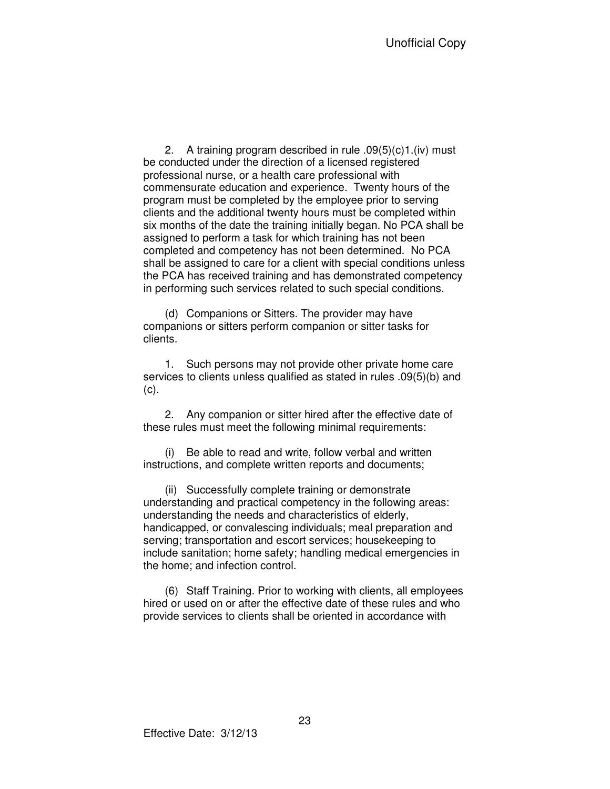2. A training program described in rule .09(5)(c)1.(iv) must be conducted under the direction of a licensed registered professional nurse, or a health care professional with commensurate education and experience. Twenty hours of the program must be completed by the employee prior to serving clients and the additional twenty hours must be completed within six months of the date the training initially began. No PCA shall be assigned to perform a task for which training has not been completed and competency has not been determined. No PCA shall be assigned to care for a client with special conditions unless the PCA has received training and has demonstrated competency in performing such services related to such special conditions.

(d) Companions or Sitters. The provider may have companions or sitters perform companion or sitter tasks for clients.

1. Such persons may not provide other private home care services to clients unless qualified as stated in rules .09(5)(b) and (c).

2. Any companion or sitter hired after the effective date of these rules must meet the following minimal requirements:

(i) Be able to read and write, follow verbal and written instructions, and complete written reports and documents;

(ii) Successfully complete training or demonstrate understanding and practical competency in the following areas: understanding the needs and characteristics of elderly, handicapped, or convalescing individuals; meal preparation and serving; transportation and escort services; housekeeping to include sanitation; home safety; handling medical emergencies in the home; and infection control.

(6) Staff Training. Prior to working with clients, all employees hired or used on or after the effective date of these rules and who provide services to clients shall be oriented in accordance with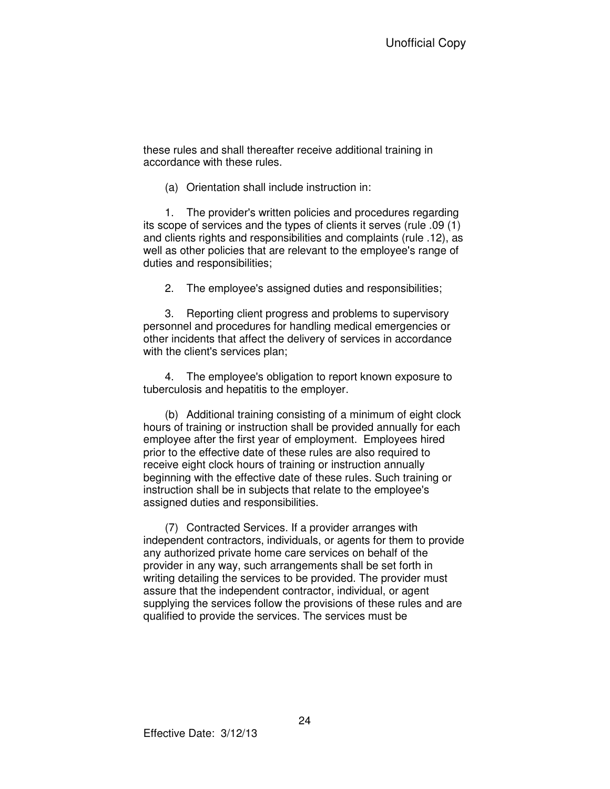these rules and shall thereafter receive additional training in accordance with these rules.

(a) Orientation shall include instruction in:

1. The provider's written policies and procedures regarding its scope of services and the types of clients it serves (rule .09 (1) and clients rights and responsibilities and complaints (rule .12), as well as other policies that are relevant to the employee's range of duties and responsibilities;

2. The employee's assigned duties and responsibilities;

3. Reporting client progress and problems to supervisory personnel and procedures for handling medical emergencies or other incidents that affect the delivery of services in accordance with the client's services plan;

4. The employee's obligation to report known exposure to tuberculosis and hepatitis to the employer.

(b) Additional training consisting of a minimum of eight clock hours of training or instruction shall be provided annually for each employee after the first year of employment. Employees hired prior to the effective date of these rules are also required to receive eight clock hours of training or instruction annually beginning with the effective date of these rules. Such training or instruction shall be in subjects that relate to the employee's assigned duties and responsibilities.

(7) Contracted Services. If a provider arranges with independent contractors, individuals, or agents for them to provide any authorized private home care services on behalf of the provider in any way, such arrangements shall be set forth in writing detailing the services to be provided. The provider must assure that the independent contractor, individual, or agent supplying the services follow the provisions of these rules and are qualified to provide the services. The services must be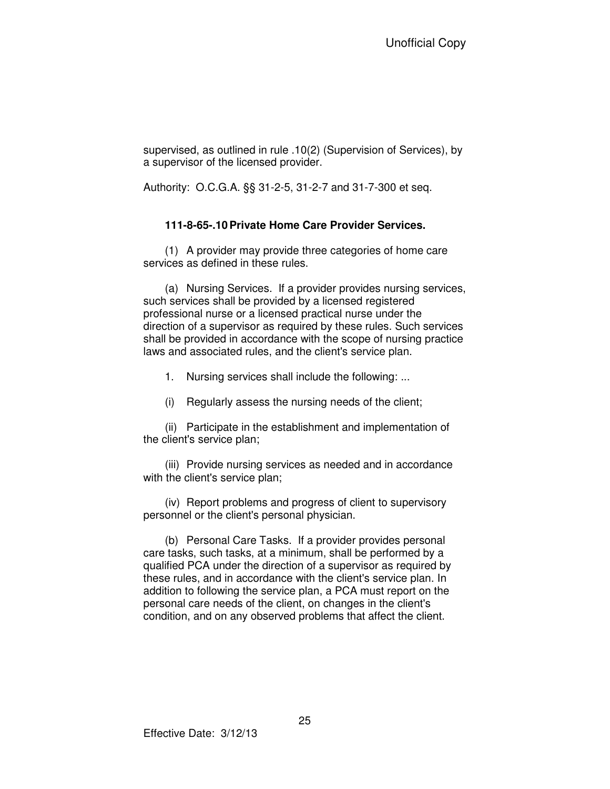supervised, as outlined in rule .10(2) (Supervision of Services), by a supervisor of the licensed provider.

Authority: O.C.G.A. §§ 31-2-5, 31-2-7 and 31-7-300 et seq.

## **111-8-65-.10 Private Home Care Provider Services.**

(1) A provider may provide three categories of home care services as defined in these rules.

(a) Nursing Services. If a provider provides nursing services, such services shall be provided by a licensed registered professional nurse or a licensed practical nurse under the direction of a supervisor as required by these rules. Such services shall be provided in accordance with the scope of nursing practice laws and associated rules, and the client's service plan.

1. Nursing services shall include the following: ...

(i) Regularly assess the nursing needs of the client;

(ii) Participate in the establishment and implementation of the client's service plan;

(iii) Provide nursing services as needed and in accordance with the client's service plan;

(iv) Report problems and progress of client to supervisory personnel or the client's personal physician.

(b) Personal Care Tasks. If a provider provides personal care tasks, such tasks, at a minimum, shall be performed by a qualified PCA under the direction of a supervisor as required by these rules, and in accordance with the client's service plan. In addition to following the service plan, a PCA must report on the personal care needs of the client, on changes in the client's condition, and on any observed problems that affect the client.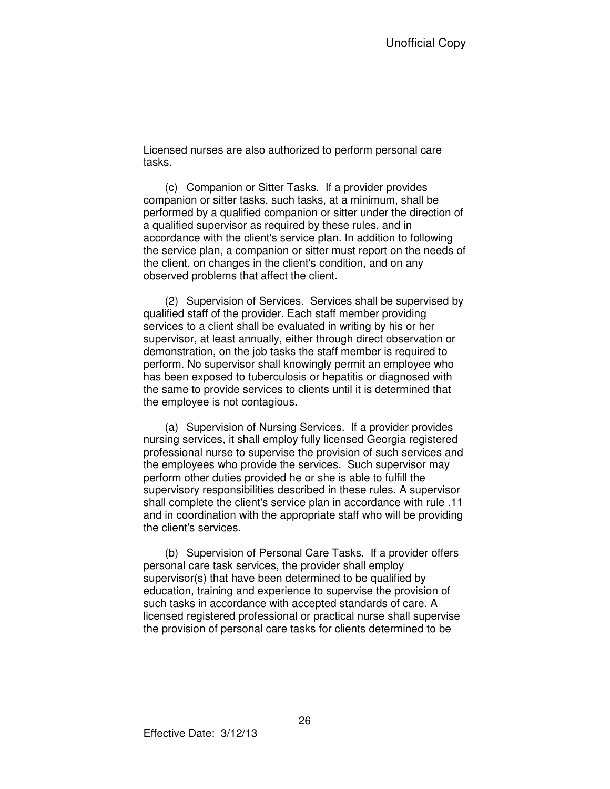Licensed nurses are also authorized to perform personal care tasks.

(c) Companion or Sitter Tasks. If a provider provides companion or sitter tasks, such tasks, at a minimum, shall be performed by a qualified companion or sitter under the direction of a qualified supervisor as required by these rules, and in accordance with the client's service plan. In addition to following the service plan, a companion or sitter must report on the needs of the client, on changes in the client's condition, and on any observed problems that affect the client.

(2) Supervision of Services. Services shall be supervised by qualified staff of the provider. Each staff member providing services to a client shall be evaluated in writing by his or her supervisor, at least annually, either through direct observation or demonstration, on the job tasks the staff member is required to perform. No supervisor shall knowingly permit an employee who has been exposed to tuberculosis or hepatitis or diagnosed with the same to provide services to clients until it is determined that the employee is not contagious.

(a) Supervision of Nursing Services. If a provider provides nursing services, it shall employ fully licensed Georgia registered professional nurse to supervise the provision of such services and the employees who provide the services. Such supervisor may perform other duties provided he or she is able to fulfill the supervisory responsibilities described in these rules. A supervisor shall complete the client's service plan in accordance with rule .11 and in coordination with the appropriate staff who will be providing the client's services.

(b) Supervision of Personal Care Tasks. If a provider offers personal care task services, the provider shall employ supervisor(s) that have been determined to be qualified by education, training and experience to supervise the provision of such tasks in accordance with accepted standards of care. A licensed registered professional or practical nurse shall supervise the provision of personal care tasks for clients determined to be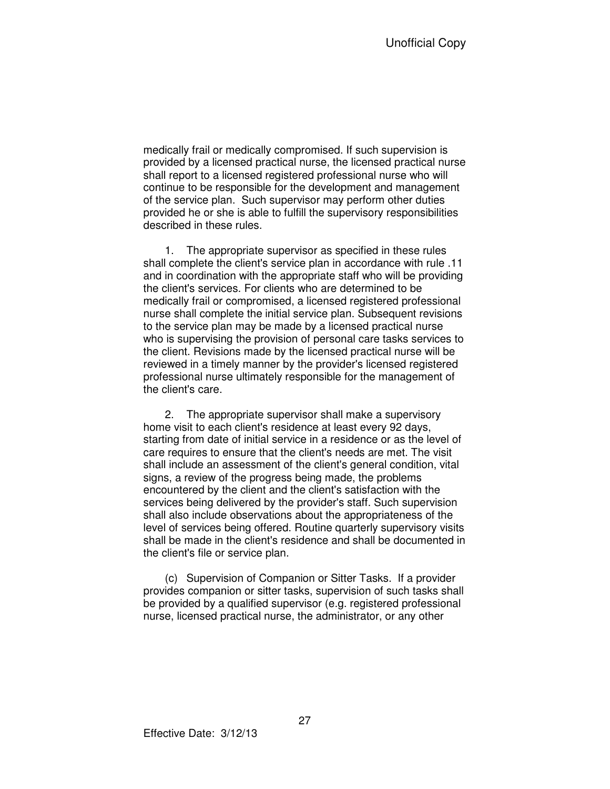medically frail or medically compromised. If such supervision is provided by a licensed practical nurse, the licensed practical nurse shall report to a licensed registered professional nurse who will continue to be responsible for the development and management of the service plan. Such supervisor may perform other duties provided he or she is able to fulfill the supervisory responsibilities described in these rules.

1. The appropriate supervisor as specified in these rules shall complete the client's service plan in accordance with rule .11 and in coordination with the appropriate staff who will be providing the client's services. For clients who are determined to be medically frail or compromised, a licensed registered professional nurse shall complete the initial service plan. Subsequent revisions to the service plan may be made by a licensed practical nurse who is supervising the provision of personal care tasks services to the client. Revisions made by the licensed practical nurse will be reviewed in a timely manner by the provider's licensed registered professional nurse ultimately responsible for the management of the client's care.

2. The appropriate supervisor shall make a supervisory home visit to each client's residence at least every 92 days, starting from date of initial service in a residence or as the level of care requires to ensure that the client's needs are met. The visit shall include an assessment of the client's general condition, vital signs, a review of the progress being made, the problems encountered by the client and the client's satisfaction with the services being delivered by the provider's staff. Such supervision shall also include observations about the appropriateness of the level of services being offered. Routine quarterly supervisory visits shall be made in the client's residence and shall be documented in the client's file or service plan.

(c) Supervision of Companion or Sitter Tasks. If a provider provides companion or sitter tasks, supervision of such tasks shall be provided by a qualified supervisor (e.g. registered professional nurse, licensed practical nurse, the administrator, or any other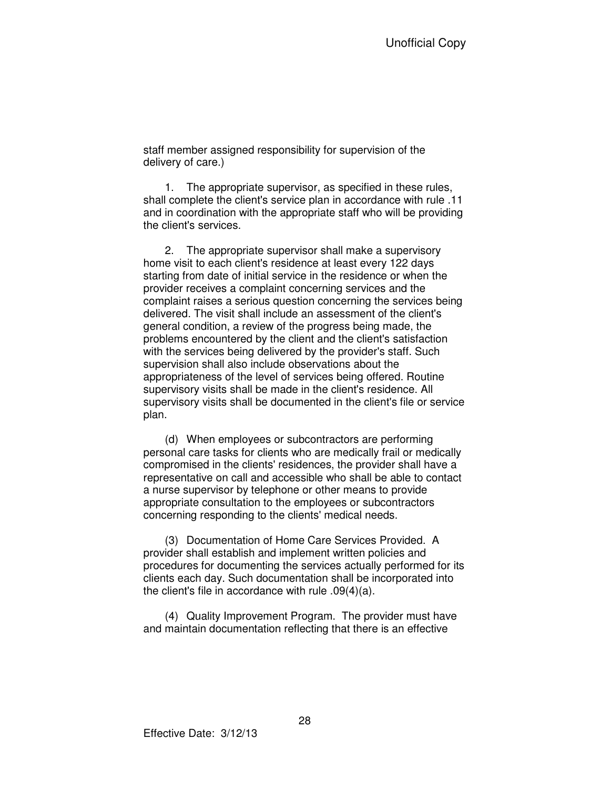staff member assigned responsibility for supervision of the delivery of care.)

1. The appropriate supervisor, as specified in these rules, shall complete the client's service plan in accordance with rule .11 and in coordination with the appropriate staff who will be providing the client's services.

2. The appropriate supervisor shall make a supervisory home visit to each client's residence at least every 122 days starting from date of initial service in the residence or when the provider receives a complaint concerning services and the complaint raises a serious question concerning the services being delivered. The visit shall include an assessment of the client's general condition, a review of the progress being made, the problems encountered by the client and the client's satisfaction with the services being delivered by the provider's staff. Such supervision shall also include observations about the appropriateness of the level of services being offered. Routine supervisory visits shall be made in the client's residence. All supervisory visits shall be documented in the client's file or service plan.

(d) When employees or subcontractors are performing personal care tasks for clients who are medically frail or medically compromised in the clients' residences, the provider shall have a representative on call and accessible who shall be able to contact a nurse supervisor by telephone or other means to provide appropriate consultation to the employees or subcontractors concerning responding to the clients' medical needs.

(3) Documentation of Home Care Services Provided. A provider shall establish and implement written policies and procedures for documenting the services actually performed for its clients each day. Such documentation shall be incorporated into the client's file in accordance with rule .09(4)(a).

(4) Quality Improvement Program. The provider must have and maintain documentation reflecting that there is an effective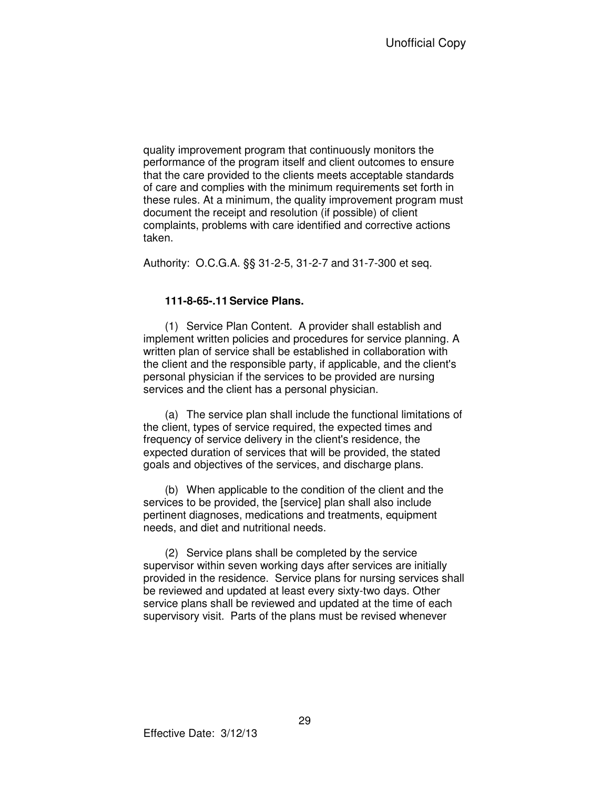quality improvement program that continuously monitors the performance of the program itself and client outcomes to ensure that the care provided to the clients meets acceptable standards of care and complies with the minimum requirements set forth in these rules. At a minimum, the quality improvement program must document the receipt and resolution (if possible) of client complaints, problems with care identified and corrective actions taken.

Authority: O.C.G.A. §§ 31-2-5, 31-2-7 and 31-7-300 et seq.

## **111-8-65-.11 Service Plans.**

(1) Service Plan Content. A provider shall establish and implement written policies and procedures for service planning. A written plan of service shall be established in collaboration with the client and the responsible party, if applicable, and the client's personal physician if the services to be provided are nursing services and the client has a personal physician.

(a) The service plan shall include the functional limitations of the client, types of service required, the expected times and frequency of service delivery in the client's residence, the expected duration of services that will be provided, the stated goals and objectives of the services, and discharge plans.

(b) When applicable to the condition of the client and the services to be provided, the [service] plan shall also include pertinent diagnoses, medications and treatments, equipment needs, and diet and nutritional needs.

(2) Service plans shall be completed by the service supervisor within seven working days after services are initially provided in the residence. Service plans for nursing services shall be reviewed and updated at least every sixty-two days. Other service plans shall be reviewed and updated at the time of each supervisory visit. Parts of the plans must be revised whenever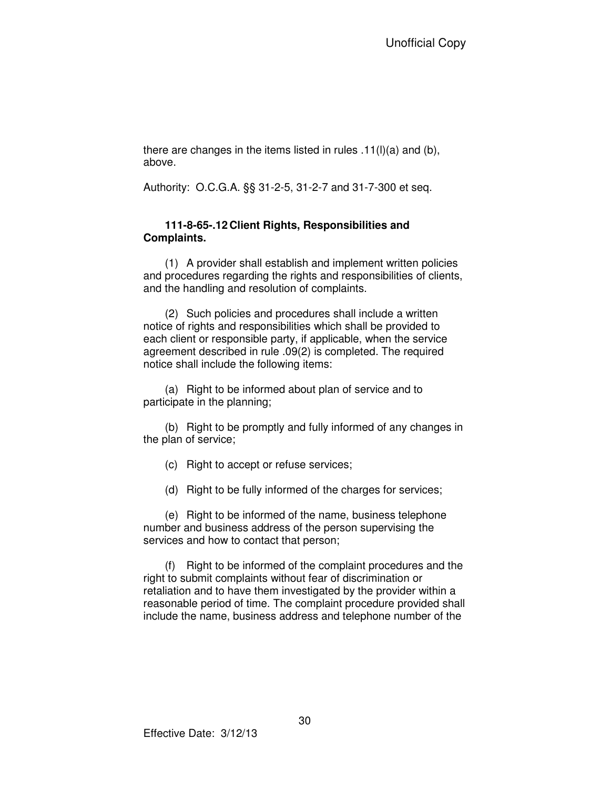there are changes in the items listed in rules .11(l)(a) and (b), above.

Authority: O.C.G.A. §§ 31-2-5, 31-2-7 and 31-7-300 et seq.

#### **111-8-65-.12 Client Rights, Responsibilities and Complaints.**

(1) A provider shall establish and implement written policies and procedures regarding the rights and responsibilities of clients, and the handling and resolution of complaints.

(2) Such policies and procedures shall include a written notice of rights and responsibilities which shall be provided to each client or responsible party, if applicable, when the service agreement described in rule .09(2) is completed. The required notice shall include the following items:

(a) Right to be informed about plan of service and to participate in the planning;

(b) Right to be promptly and fully informed of any changes in the plan of service;

- (c) Right to accept or refuse services;
- (d) Right to be fully informed of the charges for services;

(e) Right to be informed of the name, business telephone number and business address of the person supervising the services and how to contact that person;

(f) Right to be informed of the complaint procedures and the right to submit complaints without fear of discrimination or retaliation and to have them investigated by the provider within a reasonable period of time. The complaint procedure provided shall include the name, business address and telephone number of the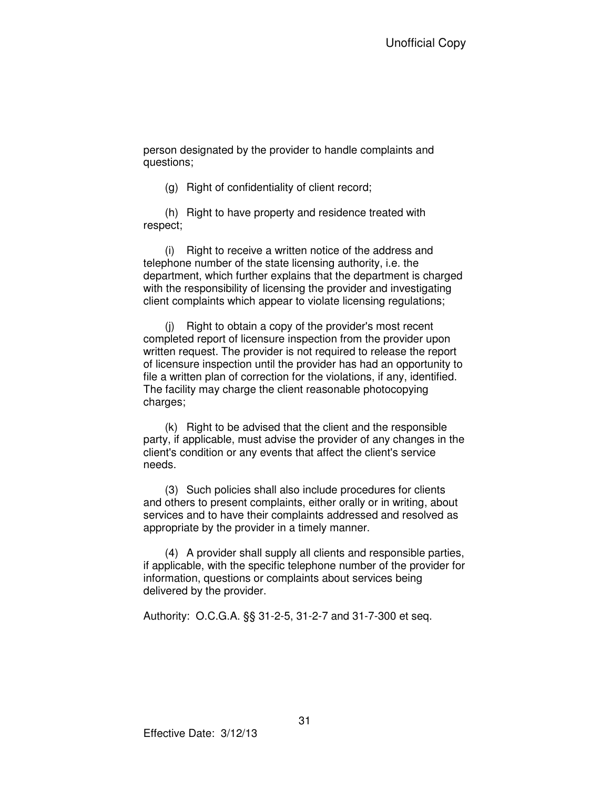person designated by the provider to handle complaints and questions;

(g) Right of confidentiality of client record;

(h) Right to have property and residence treated with respect;

(i) Right to receive a written notice of the address and telephone number of the state licensing authority, i.e. the department, which further explains that the department is charged with the responsibility of licensing the provider and investigating client complaints which appear to violate licensing regulations;

(j) Right to obtain a copy of the provider's most recent completed report of licensure inspection from the provider upon written request. The provider is not required to release the report of licensure inspection until the provider has had an opportunity to file a written plan of correction for the violations, if any, identified. The facility may charge the client reasonable photocopying charges;

(k) Right to be advised that the client and the responsible party, if applicable, must advise the provider of any changes in the client's condition or any events that affect the client's service needs.

(3) Such policies shall also include procedures for clients and others to present complaints, either orally or in writing, about services and to have their complaints addressed and resolved as appropriate by the provider in a timely manner.

(4) A provider shall supply all clients and responsible parties, if applicable, with the specific telephone number of the provider for information, questions or complaints about services being delivered by the provider.

Authority: O.C.G.A. §§ 31-2-5, 31-2-7 and 31-7-300 et seq.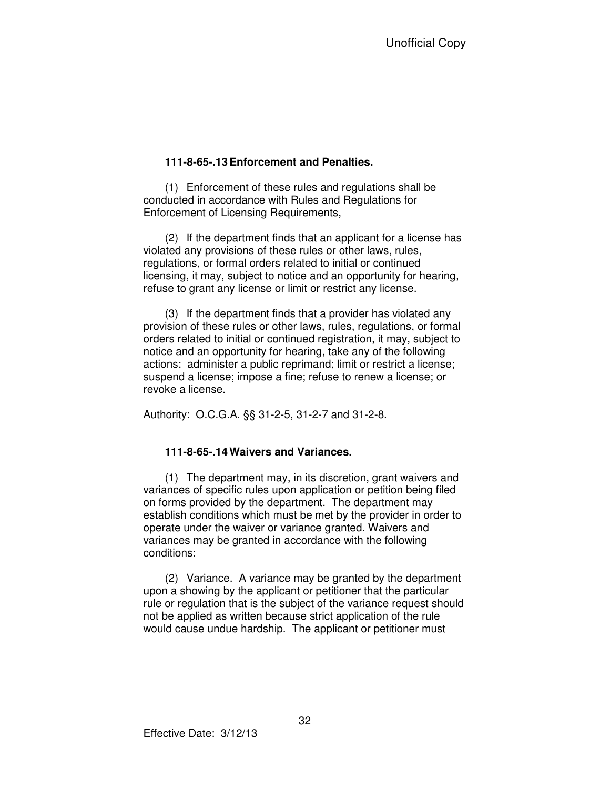## **111-8-65-.13 Enforcement and Penalties.**

(1) Enforcement of these rules and regulations shall be conducted in accordance with Rules and Regulations for Enforcement of Licensing Requirements,

(2) If the department finds that an applicant for a license has violated any provisions of these rules or other laws, rules, regulations, or formal orders related to initial or continued licensing, it may, subject to notice and an opportunity for hearing, refuse to grant any license or limit or restrict any license.

(3) If the department finds that a provider has violated any provision of these rules or other laws, rules, regulations, or formal orders related to initial or continued registration, it may, subject to notice and an opportunity for hearing, take any of the following actions: administer a public reprimand; limit or restrict a license; suspend a license; impose a fine; refuse to renew a license; or revoke a license.

Authority: O.C.G.A. §§ 31-2-5, 31-2-7 and 31-2-8.

## **111-8-65-.14 Waivers and Variances.**

(1) The department may, in its discretion, grant waivers and variances of specific rules upon application or petition being filed on forms provided by the department. The department may establish conditions which must be met by the provider in order to operate under the waiver or variance granted. Waivers and variances may be granted in accordance with the following conditions:

(2) Variance. A variance may be granted by the department upon a showing by the applicant or petitioner that the particular rule or regulation that is the subject of the variance request should not be applied as written because strict application of the rule would cause undue hardship. The applicant or petitioner must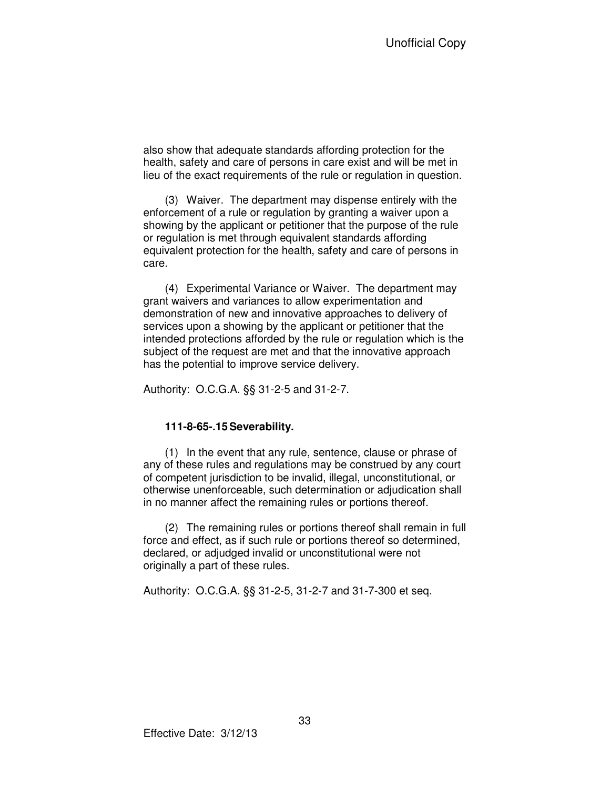also show that adequate standards affording protection for the health, safety and care of persons in care exist and will be met in lieu of the exact requirements of the rule or regulation in question.

(3) Waiver. The department may dispense entirely with the enforcement of a rule or regulation by granting a waiver upon a showing by the applicant or petitioner that the purpose of the rule or regulation is met through equivalent standards affording equivalent protection for the health, safety and care of persons in care.

(4) Experimental Variance or Waiver. The department may grant waivers and variances to allow experimentation and demonstration of new and innovative approaches to delivery of services upon a showing by the applicant or petitioner that the intended protections afforded by the rule or regulation which is the subject of the request are met and that the innovative approach has the potential to improve service delivery.

Authority: O.C.G.A. §§ 31-2-5 and 31-2-7.

## **111-8-65-.15 Severability.**

(1) In the event that any rule, sentence, clause or phrase of any of these rules and regulations may be construed by any court of competent jurisdiction to be invalid, illegal, unconstitutional, or otherwise unenforceable, such determination or adjudication shall in no manner affect the remaining rules or portions thereof.

(2) The remaining rules or portions thereof shall remain in full force and effect, as if such rule or portions thereof so determined, declared, or adjudged invalid or unconstitutional were not originally a part of these rules.

Authority: O.C.G.A. §§ 31-2-5, 31-2-7 and 31-7-300 et seq.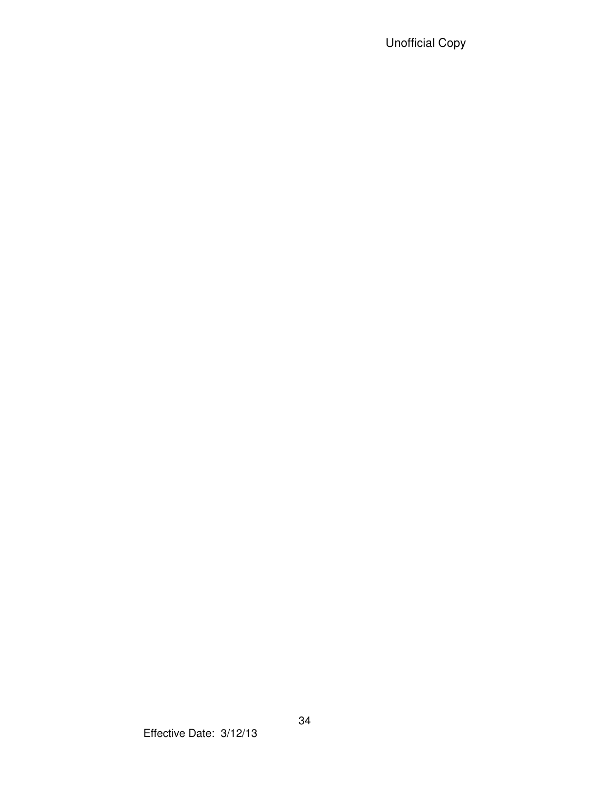Unofficial Copy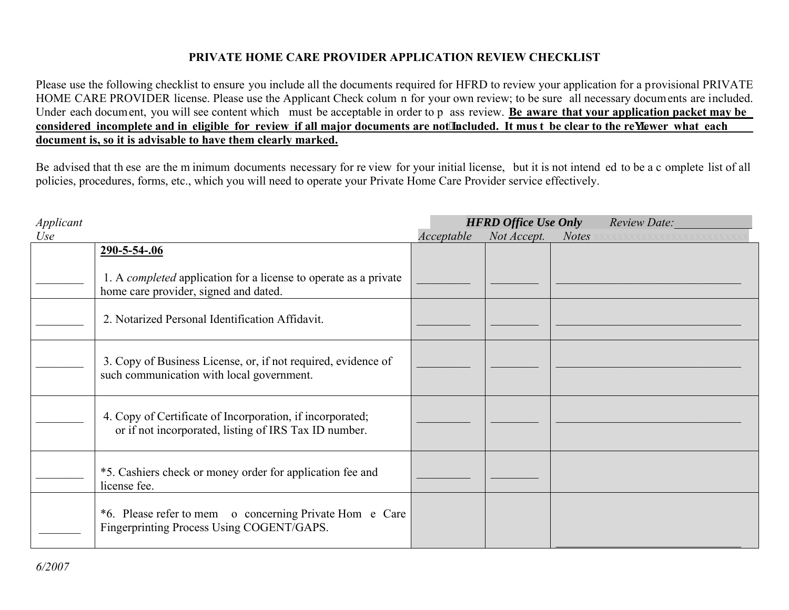# **PRIVATE HOME CARE PROVIDER APPLICATION REVIEW CHECKLIST**

Please use the following checklist to ensure you include all the documents required for HFRD to review your application for a provisional PRIVATE HOME CARE PROVIDER license. Please use the Applicant Check colum n for your own review; to be sure all necessary documents are included. Under each document, you will see content which must be acceptable in order to p ass review. **Be aware that your application packet may be considered incomplete and in eligible for review if all major documents are not'lncluded. It mus t be clear to the rexlewer what each document is, so it is advisable to have them clearly marked.**

Be advised that th ese are the m inimum documents necessary for re view for your initial license, but it is not intend ed to be a c omplete list of all policies, procedures, forms, etc., which you will need to operate your Private Home Care Provider service effectively.

| Applicant |                                                                                                                    | <b>HFRD Office Use Only</b><br>Review Date: |             |              |  |
|-----------|--------------------------------------------------------------------------------------------------------------------|---------------------------------------------|-------------|--------------|--|
| Use       |                                                                                                                    | Acceptable                                  | Not Accept. | <b>Notes</b> |  |
|           | 290-5-54-.06                                                                                                       |                                             |             |              |  |
|           | 1. A <i>completed</i> application for a license to operate as a private<br>home care provider, signed and dated.   |                                             |             |              |  |
|           | 2. Notarized Personal Identification Affidavit.                                                                    |                                             |             |              |  |
|           | 3. Copy of Business License, or, if not required, evidence of<br>such communication with local government.         |                                             |             |              |  |
|           | 4. Copy of Certificate of Incorporation, if incorporated;<br>or if not incorporated, listing of IRS Tax ID number. |                                             |             |              |  |
|           | *5. Cashiers check or money order for application fee and<br>license fee.                                          |                                             |             |              |  |
|           | *6. Please refer to mem o concerning Private Hom e Care<br>Fingerprinting Process Using COGENT/GAPS.               |                                             |             |              |  |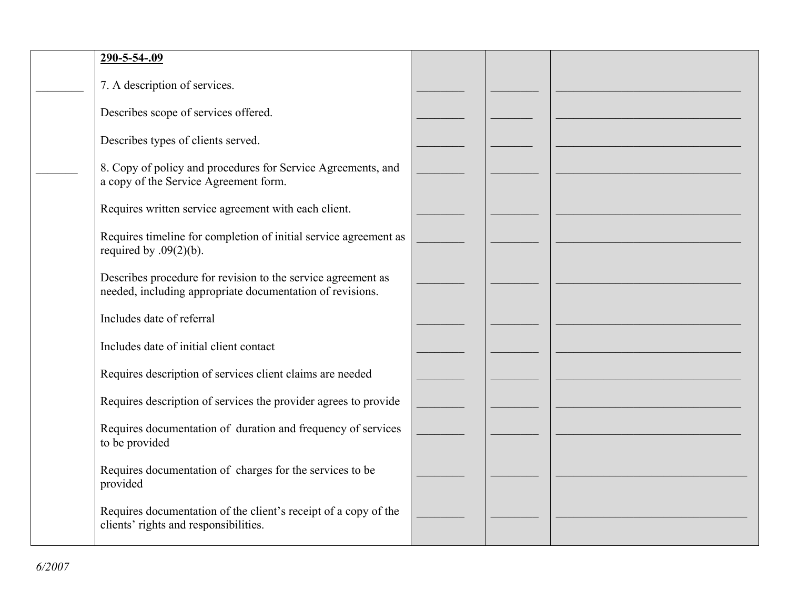| 290-5-54-.09                                                                                                              |  |  |
|---------------------------------------------------------------------------------------------------------------------------|--|--|
| 7. A description of services.                                                                                             |  |  |
| Describes scope of services offered.                                                                                      |  |  |
| Describes types of clients served.                                                                                        |  |  |
| 8. Copy of policy and procedures for Service Agreements, and<br>a copy of the Service Agreement form.                     |  |  |
| Requires written service agreement with each client.                                                                      |  |  |
| Requires timeline for completion of initial service agreement as<br>required by $.09(2)(b)$ .                             |  |  |
| Describes procedure for revision to the service agreement as<br>needed, including appropriate documentation of revisions. |  |  |
| Includes date of referral                                                                                                 |  |  |
| Includes date of initial client contact                                                                                   |  |  |
| Requires description of services client claims are needed                                                                 |  |  |
| Requires description of services the provider agrees to provide                                                           |  |  |
| Requires documentation of duration and frequency of services<br>to be provided                                            |  |  |
| Requires documentation of charges for the services to be<br>provided                                                      |  |  |
| Requires documentation of the client's receipt of a copy of the<br>clients' rights and responsibilities.                  |  |  |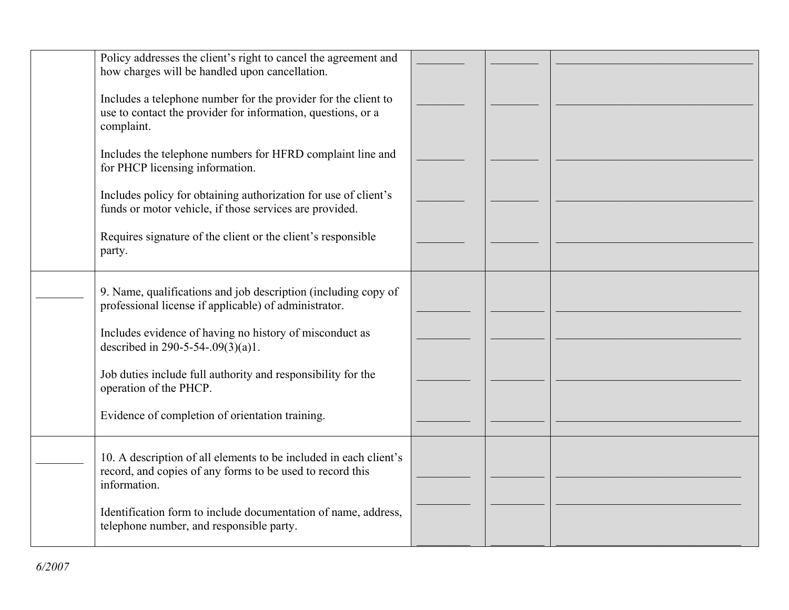| Policy addresses the client's right to cancel the agreement and<br>how charges will be handled upon cancellation.                              |  |  |
|------------------------------------------------------------------------------------------------------------------------------------------------|--|--|
| Includes a telephone number for the provider for the client to<br>use to contact the provider for information, questions, or a<br>complaint.   |  |  |
| Includes the telephone numbers for HFRD complaint line and<br>for PHCP licensing information.                                                  |  |  |
| Includes policy for obtaining authorization for use of client's<br>funds or motor vehicle, if those services are provided.                     |  |  |
| Requires signature of the client or the client's responsible<br>party.                                                                         |  |  |
| 9. Name, qualifications and job description (including copy of<br>professional license if applicable) of administrator.                        |  |  |
| Includes evidence of having no history of misconduct as<br>described in 290-5-54-.09(3)(a)1.                                                   |  |  |
| Job duties include full authority and responsibility for the<br>operation of the PHCP.                                                         |  |  |
| Evidence of completion of orientation training.                                                                                                |  |  |
| 10. A description of all elements to be included in each client's<br>record, and copies of any forms to be used to record this<br>information. |  |  |
| Identification form to include documentation of name, address,<br>telephone number, and responsible party.                                     |  |  |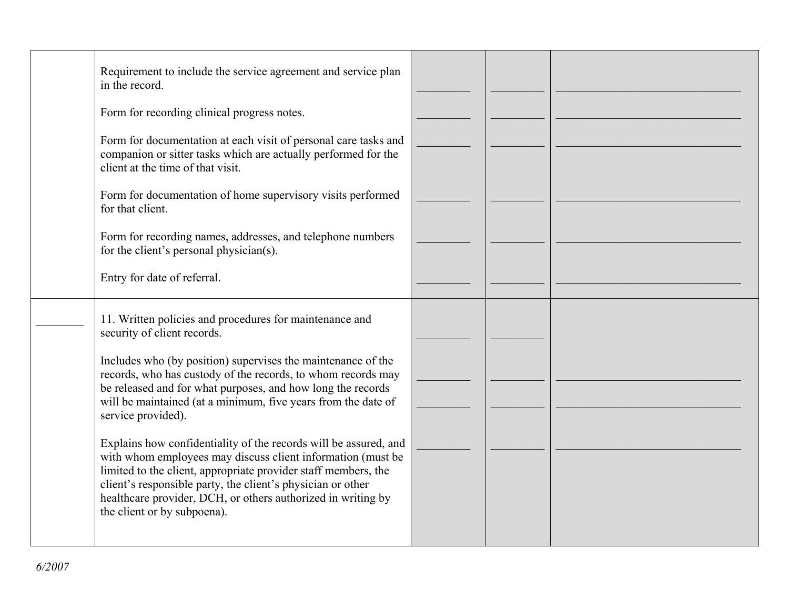| Requirement to include the service agreement and service plan<br>in the record.                                                                                                                                                                                                                                                                                 |  |  |
|-----------------------------------------------------------------------------------------------------------------------------------------------------------------------------------------------------------------------------------------------------------------------------------------------------------------------------------------------------------------|--|--|
| Form for recording clinical progress notes.                                                                                                                                                                                                                                                                                                                     |  |  |
| Form for documentation at each visit of personal care tasks and<br>companion or sitter tasks which are actually performed for the<br>client at the time of that visit.                                                                                                                                                                                          |  |  |
| Form for documentation of home supervisory visits performed<br>for that client.                                                                                                                                                                                                                                                                                 |  |  |
| Form for recording names, addresses, and telephone numbers<br>for the client's personal physician(s).                                                                                                                                                                                                                                                           |  |  |
| Entry for date of referral.                                                                                                                                                                                                                                                                                                                                     |  |  |
| 11. Written policies and procedures for maintenance and<br>security of client records.                                                                                                                                                                                                                                                                          |  |  |
| Includes who (by position) supervises the maintenance of the<br>records, who has custody of the records, to whom records may<br>be released and for what purposes, and how long the records<br>will be maintained (at a minimum, five years from the date of<br>service provided).                                                                              |  |  |
| Explains how confidentiality of the records will be assured, and<br>with whom employees may discuss client information (must be<br>limited to the client, appropriate provider staff members, the<br>client's responsible party, the client's physician or other<br>healthcare provider, DCH, or others authorized in writing by<br>the client or by subpoena). |  |  |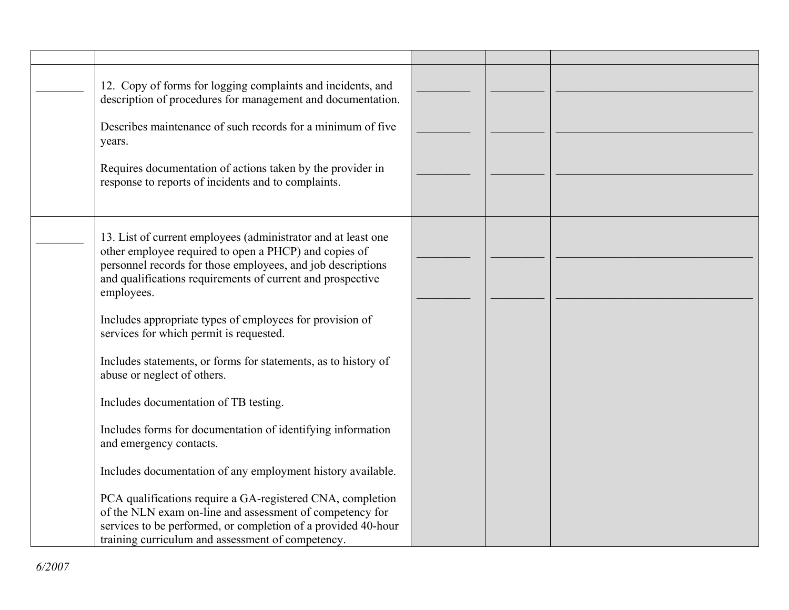| 12. Copy of forms for logging complaints and incidents, and<br>description of procedures for management and documentation.                                                                                                                                        |  |  |
|-------------------------------------------------------------------------------------------------------------------------------------------------------------------------------------------------------------------------------------------------------------------|--|--|
| Describes maintenance of such records for a minimum of five<br>years.                                                                                                                                                                                             |  |  |
| Requires documentation of actions taken by the provider in<br>response to reports of incidents and to complaints.                                                                                                                                                 |  |  |
| 13. List of current employees (administrator and at least one<br>other employee required to open a PHCP) and copies of<br>personnel records for those employees, and job descriptions<br>and qualifications requirements of current and prospective<br>employees. |  |  |
| Includes appropriate types of employees for provision of<br>services for which permit is requested.                                                                                                                                                               |  |  |
| Includes statements, or forms for statements, as to history of<br>abuse or neglect of others.                                                                                                                                                                     |  |  |
| Includes documentation of TB testing.                                                                                                                                                                                                                             |  |  |
| Includes forms for documentation of identifying information<br>and emergency contacts.                                                                                                                                                                            |  |  |
| Includes documentation of any employment history available.                                                                                                                                                                                                       |  |  |
| PCA qualifications require a GA-registered CNA, completion<br>of the NLN exam on-line and assessment of competency for<br>services to be performed, or completion of a provided 40-hour<br>training curriculum and assessment of competency.                      |  |  |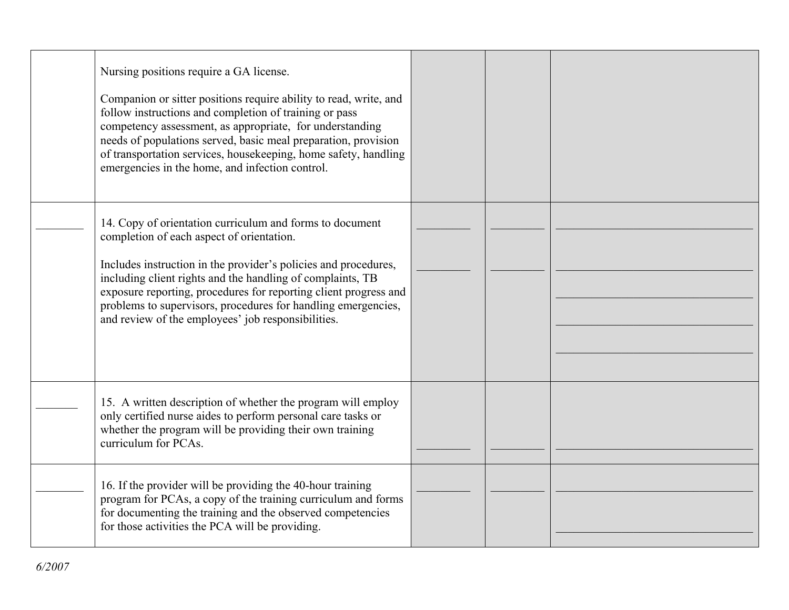| Nursing positions require a GA license.<br>Companion or sitter positions require ability to read, write, and<br>follow instructions and completion of training or pass<br>competency assessment, as appropriate, for understanding<br>needs of populations served, basic meal preparation, provision<br>of transportation services, housekeeping, home safety, handling<br>emergencies in the home, and infection control.        |  |  |
|-----------------------------------------------------------------------------------------------------------------------------------------------------------------------------------------------------------------------------------------------------------------------------------------------------------------------------------------------------------------------------------------------------------------------------------|--|--|
| 14. Copy of orientation curriculum and forms to document<br>completion of each aspect of orientation.<br>Includes instruction in the provider's policies and procedures,<br>including client rights and the handling of complaints, TB<br>exposure reporting, procedures for reporting client progress and<br>problems to supervisors, procedures for handling emergencies,<br>and review of the employees' job responsibilities. |  |  |
| 15. A written description of whether the program will employ<br>only certified nurse aides to perform personal care tasks or<br>whether the program will be providing their own training<br>curriculum for PCAs.                                                                                                                                                                                                                  |  |  |
| 16. If the provider will be providing the 40-hour training<br>program for PCAs, a copy of the training curriculum and forms<br>for documenting the training and the observed competencies<br>for those activities the PCA will be providing.                                                                                                                                                                                      |  |  |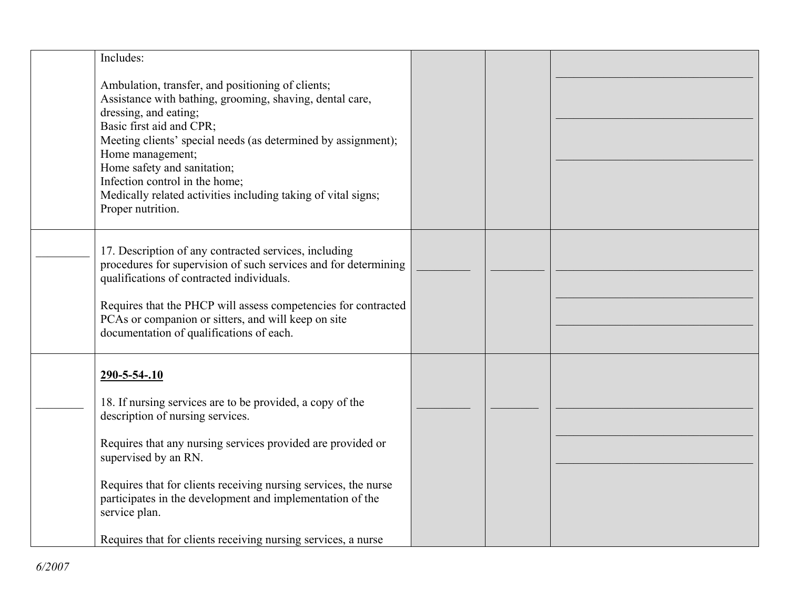| Includes:                                                                                                                                                                                                                                                                                                                                                                                                              |  |  |
|------------------------------------------------------------------------------------------------------------------------------------------------------------------------------------------------------------------------------------------------------------------------------------------------------------------------------------------------------------------------------------------------------------------------|--|--|
| Ambulation, transfer, and positioning of clients;<br>Assistance with bathing, grooming, shaving, dental care,<br>dressing, and eating;<br>Basic first aid and CPR;<br>Meeting clients' special needs (as determined by assignment);<br>Home management;<br>Home safety and sanitation;<br>Infection control in the home;<br>Medically related activities including taking of vital signs;<br>Proper nutrition.         |  |  |
| 17. Description of any contracted services, including<br>procedures for supervision of such services and for determining<br>qualifications of contracted individuals.<br>Requires that the PHCP will assess competencies for contracted<br>PCAs or companion or sitters, and will keep on site<br>documentation of qualifications of each.                                                                             |  |  |
| 290-5-54-.10<br>18. If nursing services are to be provided, a copy of the<br>description of nursing services.<br>Requires that any nursing services provided are provided or<br>supervised by an RN.<br>Requires that for clients receiving nursing services, the nurse<br>participates in the development and implementation of the<br>service plan.<br>Requires that for clients receiving nursing services, a nurse |  |  |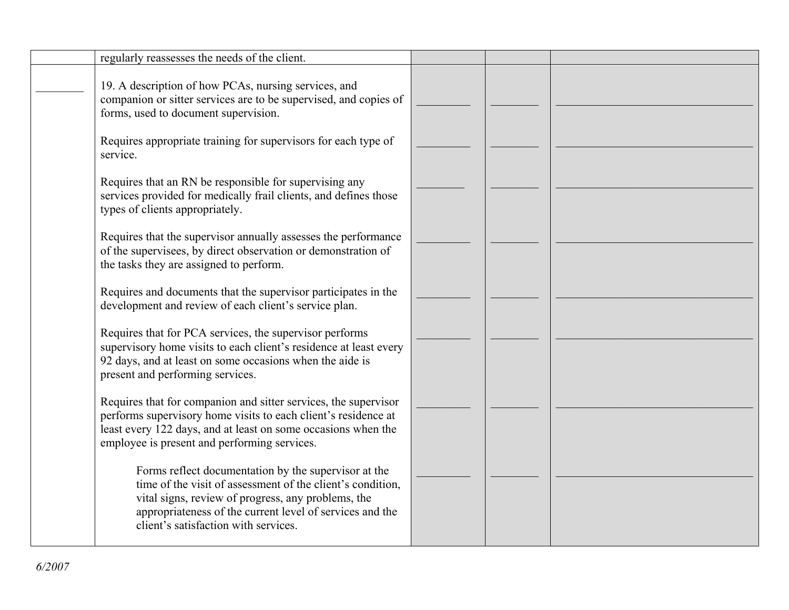| regularly reassesses the needs of the client.                                                                                                                                                                                                                                |  |  |
|------------------------------------------------------------------------------------------------------------------------------------------------------------------------------------------------------------------------------------------------------------------------------|--|--|
| 19. A description of how PCAs, nursing services, and<br>companion or sitter services are to be supervised, and copies of<br>forms, used to document supervision.                                                                                                             |  |  |
| Requires appropriate training for supervisors for each type of<br>service.                                                                                                                                                                                                   |  |  |
| Requires that an RN be responsible for supervising any<br>services provided for medically frail clients, and defines those<br>types of clients appropriately.                                                                                                                |  |  |
| Requires that the supervisor annually assesses the performance<br>of the supervisees, by direct observation or demonstration of<br>the tasks they are assigned to perform.                                                                                                   |  |  |
| Requires and documents that the supervisor participates in the<br>development and review of each client's service plan.                                                                                                                                                      |  |  |
| Requires that for PCA services, the supervisor performs<br>supervisory home visits to each client's residence at least every<br>92 days, and at least on some occasions when the aide is<br>present and performing services.                                                 |  |  |
| Requires that for companion and sitter services, the supervisor<br>performs supervisory home visits to each client's residence at<br>least every 122 days, and at least on some occasions when the<br>employee is present and performing services.                           |  |  |
| Forms reflect documentation by the supervisor at the<br>time of the visit of assessment of the client's condition,<br>vital signs, review of progress, any problems, the<br>appropriateness of the current level of services and the<br>client's satisfaction with services. |  |  |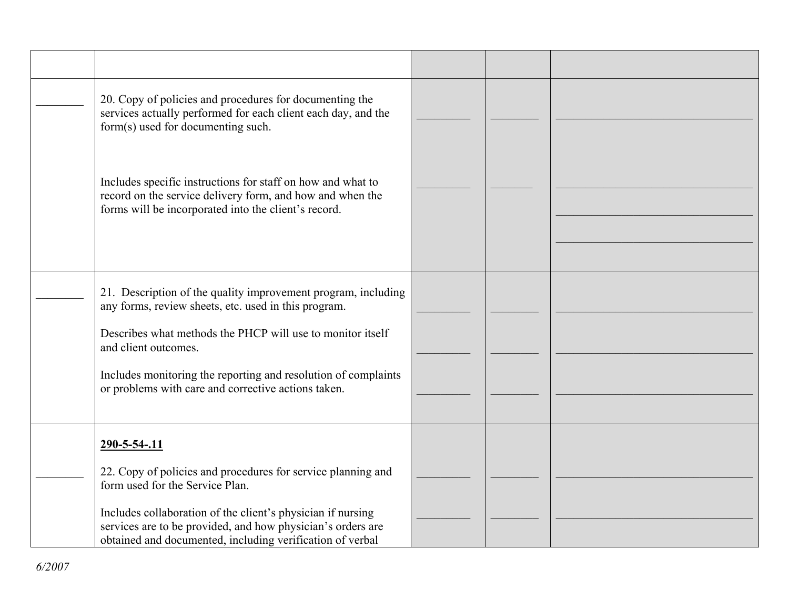| 20. Copy of policies and procedures for documenting the<br>services actually performed for each client each day, and the<br>form(s) used for documenting such.                                                                                                                                                                       |  |  |
|--------------------------------------------------------------------------------------------------------------------------------------------------------------------------------------------------------------------------------------------------------------------------------------------------------------------------------------|--|--|
| Includes specific instructions for staff on how and what to<br>record on the service delivery form, and how and when the<br>forms will be incorporated into the client's record.                                                                                                                                                     |  |  |
| 21. Description of the quality improvement program, including<br>any forms, review sheets, etc. used in this program.<br>Describes what methods the PHCP will use to monitor itself<br>and client outcomes.<br>Includes monitoring the reporting and resolution of complaints<br>or problems with care and corrective actions taken. |  |  |
| 290-5-54-.11<br>22. Copy of policies and procedures for service planning and<br>form used for the Service Plan.<br>Includes collaboration of the client's physician if nursing<br>services are to be provided, and how physician's orders are<br>obtained and documented, including verification of verbal                           |  |  |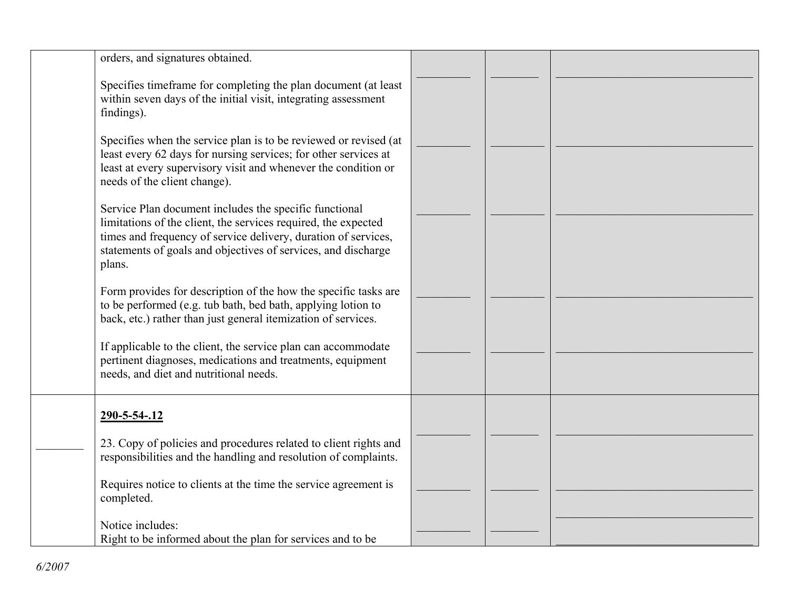| orders, and signatures obtained.                                                                                                                                                                                                                                      |  |  |
|-----------------------------------------------------------------------------------------------------------------------------------------------------------------------------------------------------------------------------------------------------------------------|--|--|
| Specifies timeframe for completing the plan document (at least<br>within seven days of the initial visit, integrating assessment<br>findings).                                                                                                                        |  |  |
| Specifies when the service plan is to be reviewed or revised (at<br>least every 62 days for nursing services; for other services at<br>least at every supervisory visit and whenever the condition or<br>needs of the client change).                                 |  |  |
| Service Plan document includes the specific functional<br>limitations of the client, the services required, the expected<br>times and frequency of service delivery, duration of services,<br>statements of goals and objectives of services, and discharge<br>plans. |  |  |
| Form provides for description of the how the specific tasks are<br>to be performed (e.g. tub bath, bed bath, applying lotion to<br>back, etc.) rather than just general itemization of services.                                                                      |  |  |
| If applicable to the client, the service plan can accommodate<br>pertinent diagnoses, medications and treatments, equipment<br>needs, and diet and nutritional needs.                                                                                                 |  |  |
| 290-5-54-.12                                                                                                                                                                                                                                                          |  |  |
| 23. Copy of policies and procedures related to client rights and<br>responsibilities and the handling and resolution of complaints.                                                                                                                                   |  |  |
| Requires notice to clients at the time the service agreement is<br>completed.                                                                                                                                                                                         |  |  |
| Notice includes:<br>Right to be informed about the plan for services and to be                                                                                                                                                                                        |  |  |